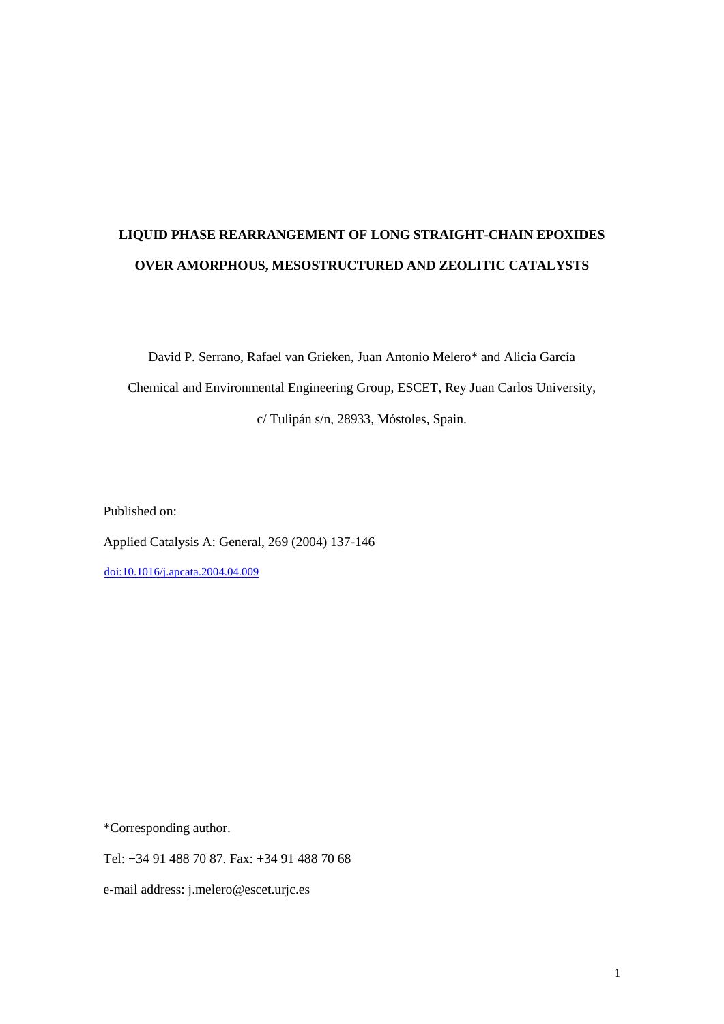# **LIQUID PHASE REARRANGEMENT OF LONG STRAIGHT-CHAIN EPOXIDES OVER AMORPHOUS, MESOSTRUCTURED AND ZEOLITIC CATALYSTS**

David P. Serrano, Rafael van Grieken, Juan Antonio Melero\* and Alicia García Chemical and Environmental Engineering Group, ESCET, Rey Juan Carlos University, c/ Tulipán s/n, 28933, Móstoles, Spain.

Published on:

Applied Catalysis A: General, 269 (2004) 137-146

[doi:10.1016/j.apcata.2004.04.009](http://dx.doi.org/10.1016/j.apcata.2004.04.009)

\*Corresponding author.

Tel: +34 91 488 70 87. Fax: +34 91 488 70 68

e-mail address: j.melero@escet.urjc.es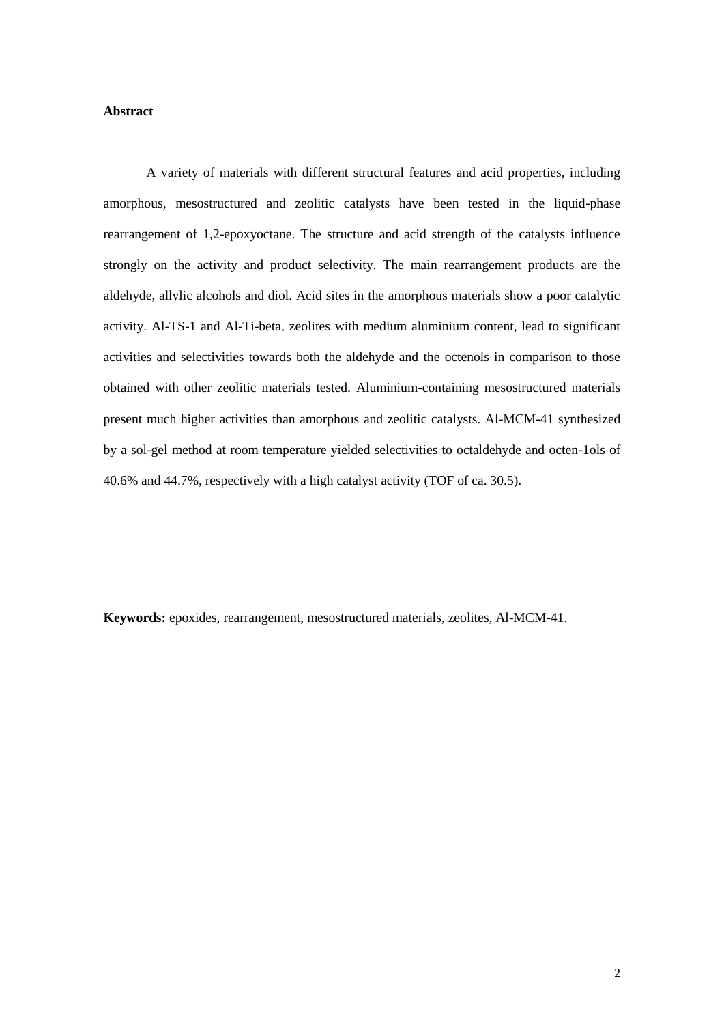# **Abstract**

A variety of materials with different structural features and acid properties, including amorphous, mesostructured and zeolitic catalysts have been tested in the liquid-phase rearrangement of 1,2-epoxyoctane. The structure and acid strength of the catalysts influence strongly on the activity and product selectivity. The main rearrangement products are the aldehyde, allylic alcohols and diol. Acid sites in the amorphous materials show a poor catalytic activity. Al-TS-1 and Al-Ti-beta, zeolites with medium aluminium content, lead to significant activities and selectivities towards both the aldehyde and the octenols in comparison to those obtained with other zeolitic materials tested. Aluminium-containing mesostructured materials present much higher activities than amorphous and zeolitic catalysts. Al-MCM-41 synthesized by a sol-gel method at room temperature yielded selectivities to octaldehyde and octen-1ols of 40.6% and 44.7%, respectively with a high catalyst activity (TOF of ca. 30.5).

**Keywords:** epoxides, rearrangement, mesostructured materials, zeolites, Al-MCM-41.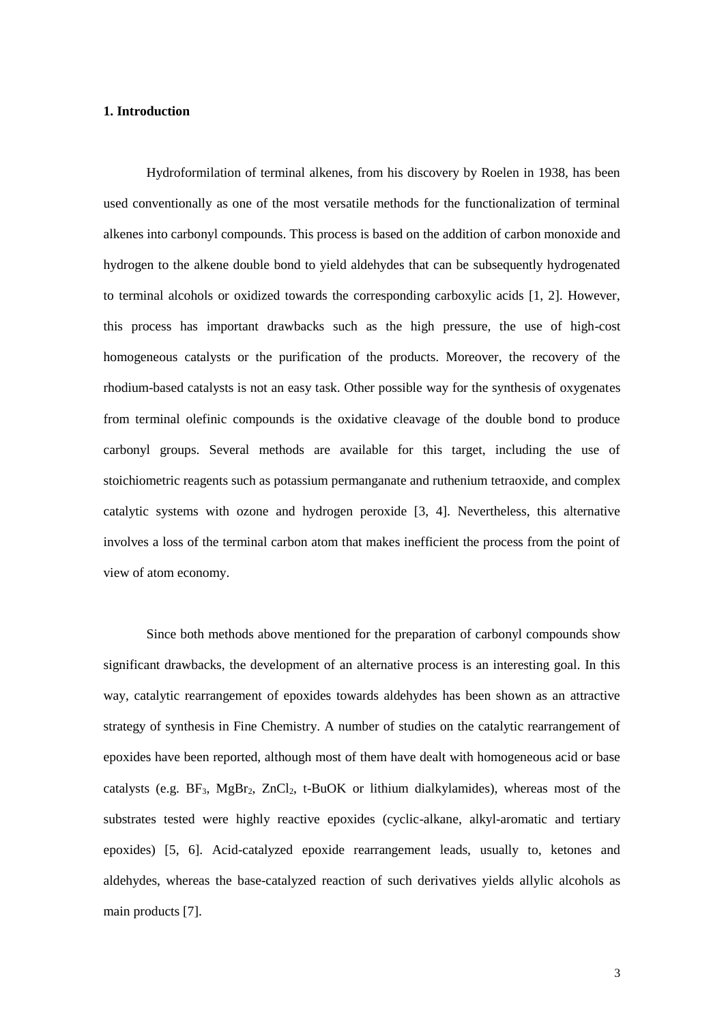## **1. Introduction**

Hydroformilation of terminal alkenes, from his discovery by Roelen in 1938, has been used conventionally as one of the most versatile methods for the functionalization of terminal alkenes into carbonyl compounds. This process is based on the addition of carbon monoxide and hydrogen to the alkene double bond to yield aldehydes that can be subsequently hydrogenated to terminal alcohols or oxidized towards the corresponding carboxylic acids [1, 2]. However, this process has important drawbacks such as the high pressure, the use of high-cost homogeneous catalysts or the purification of the products. Moreover, the recovery of the rhodium-based catalysts is not an easy task. Other possible way for the synthesis of oxygenates from terminal olefinic compounds is the oxidative cleavage of the double bond to produce carbonyl groups. Several methods are available for this target, including the use of stoichiometric reagents such as potassium permanganate and ruthenium tetraoxide, and complex catalytic systems with ozone and hydrogen peroxide [3, 4]. Nevertheless, this alternative involves a loss of the terminal carbon atom that makes inefficient the process from the point of view of atom economy.

Since both methods above mentioned for the preparation of carbonyl compounds show significant drawbacks, the development of an alternative process is an interesting goal. In this way, catalytic rearrangement of epoxides towards aldehydes has been shown as an attractive strategy of synthesis in Fine Chemistry. A number of studies on the catalytic rearrangement of epoxides have been reported, although most of them have dealt with homogeneous acid or base catalysts (e.g.  $BF_3$ ,  $MgBr_2$ ,  $ZnCl_2$ , t-BuOK or lithium dialkylamides), whereas most of the substrates tested were highly reactive epoxides (cyclic-alkane, alkyl-aromatic and tertiary epoxides) [5, 6]. Acid-catalyzed epoxide rearrangement leads, usually to, ketones and aldehydes, whereas the base-catalyzed reaction of such derivatives yields allylic alcohols as main products [7].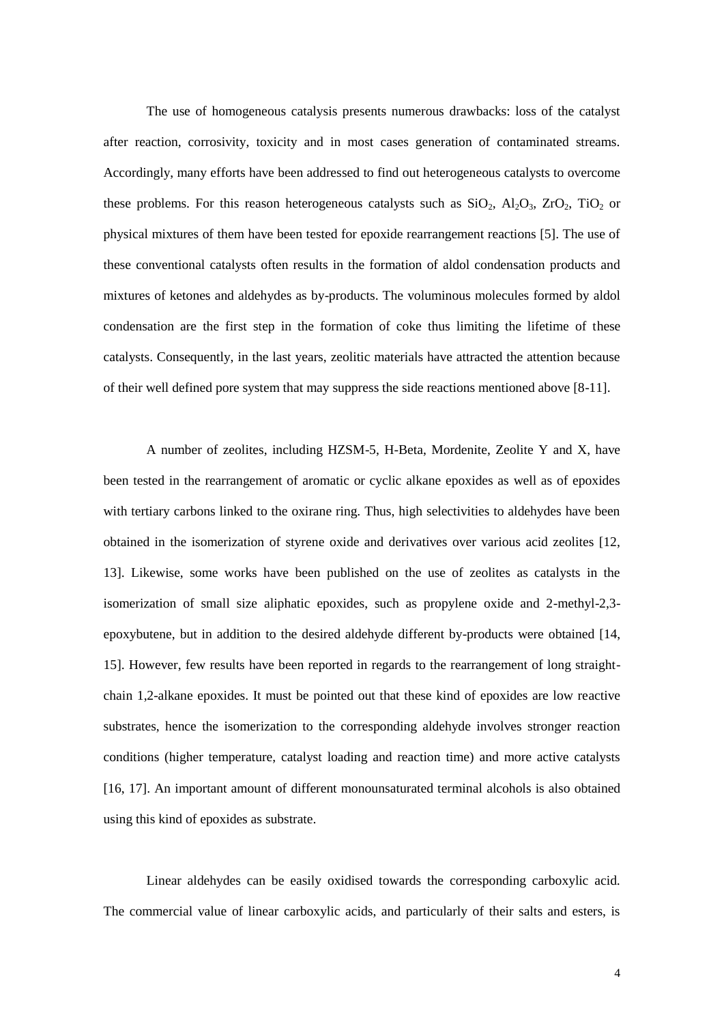The use of homogeneous catalysis presents numerous drawbacks: loss of the catalyst after reaction, corrosivity, toxicity and in most cases generation of contaminated streams. Accordingly, many efforts have been addressed to find out heterogeneous catalysts to overcome these problems. For this reason heterogeneous catalysts such as  $SiO_2$ ,  $Al_2O_3$ ,  $ZrO_2$ ,  $TiO_2$  or physical mixtures of them have been tested for epoxide rearrangement reactions [5]. The use of these conventional catalysts often results in the formation of aldol condensation products and mixtures of ketones and aldehydes as by-products. The voluminous molecules formed by aldol condensation are the first step in the formation of coke thus limiting the lifetime of these catalysts. Consequently, in the last years, zeolitic materials have attracted the attention because of their well defined pore system that may suppress the side reactions mentioned above [8-11].

A number of zeolites, including HZSM-5, H-Beta, Mordenite, Zeolite Y and X, have been tested in the rearrangement of aromatic or cyclic alkane epoxides as well as of epoxides with tertiary carbons linked to the oxirane ring. Thus, high selectivities to aldehydes have been obtained in the isomerization of styrene oxide and derivatives over various acid zeolites [12, 13]. Likewise, some works have been published on the use of zeolites as catalysts in the isomerization of small size aliphatic epoxides, such as propylene oxide and 2-methyl-2,3 epoxybutene, but in addition to the desired aldehyde different by-products were obtained [14, 15]. However, few results have been reported in regards to the rearrangement of long straightchain 1,2-alkane epoxides. It must be pointed out that these kind of epoxides are low reactive substrates, hence the isomerization to the corresponding aldehyde involves stronger reaction conditions (higher temperature, catalyst loading and reaction time) and more active catalysts [16, 17]. An important amount of different monounsaturated terminal alcohols is also obtained using this kind of epoxides as substrate.

Linear aldehydes can be easily oxidised towards the corresponding carboxylic acid. The commercial value of linear carboxylic acids, and particularly of their salts and esters, is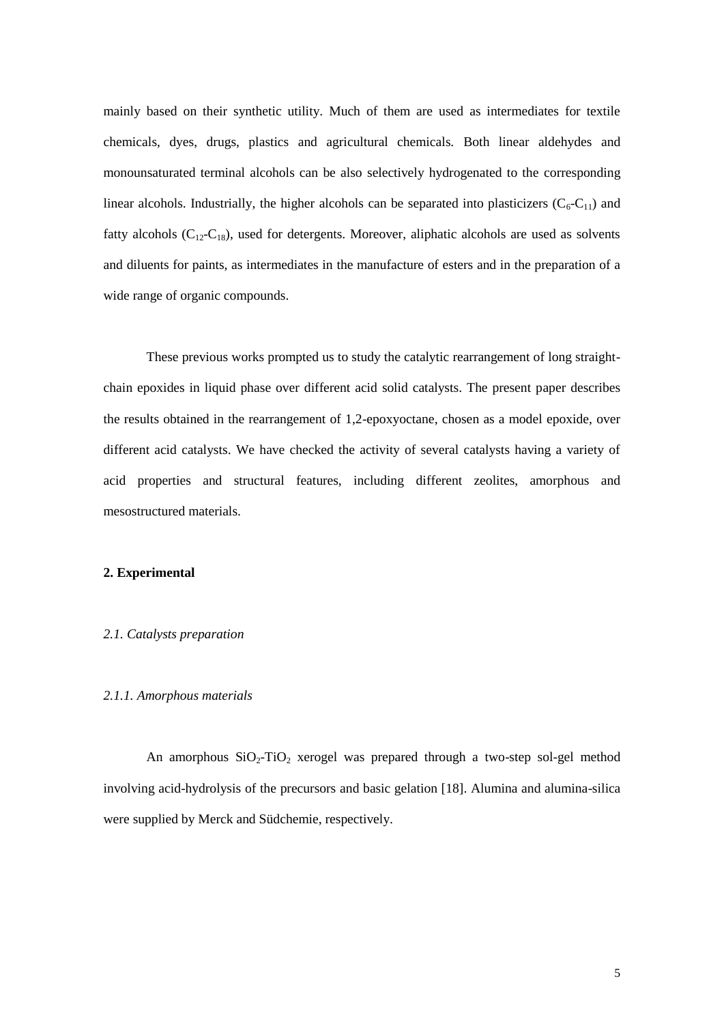mainly based on their synthetic utility. Much of them are used as intermediates for textile chemicals, dyes, drugs, plastics and agricultural chemicals. Both linear aldehydes and monounsaturated terminal alcohols can be also selectively hydrogenated to the corresponding linear alcohols. Industrially, the higher alcohols can be separated into plasticizers  $(C_6-C_{11})$  and fatty alcohols  $(C_{12}-C_{18})$ , used for detergents. Moreover, aliphatic alcohols are used as solvents and diluents for paints, as intermediates in the manufacture of esters and in the preparation of a wide range of organic compounds.

These previous works prompted us to study the catalytic rearrangement of long straightchain epoxides in liquid phase over different acid solid catalysts. The present paper describes the results obtained in the rearrangement of 1,2-epoxyoctane, chosen as a model epoxide, over different acid catalysts. We have checked the activity of several catalysts having a variety of acid properties and structural features, including different zeolites, amorphous and mesostructured materials.

## **2. Experimental**

## *2.1. Catalysts preparation*

## *2.1.1. Amorphous materials*

An amorphous  $SiO_2-TiO_2$  xerogel was prepared through a two-step sol-gel method involving acid-hydrolysis of the precursors and basic gelation [18]. Alumina and alumina-silica were supplied by Merck and Südchemie, respectively.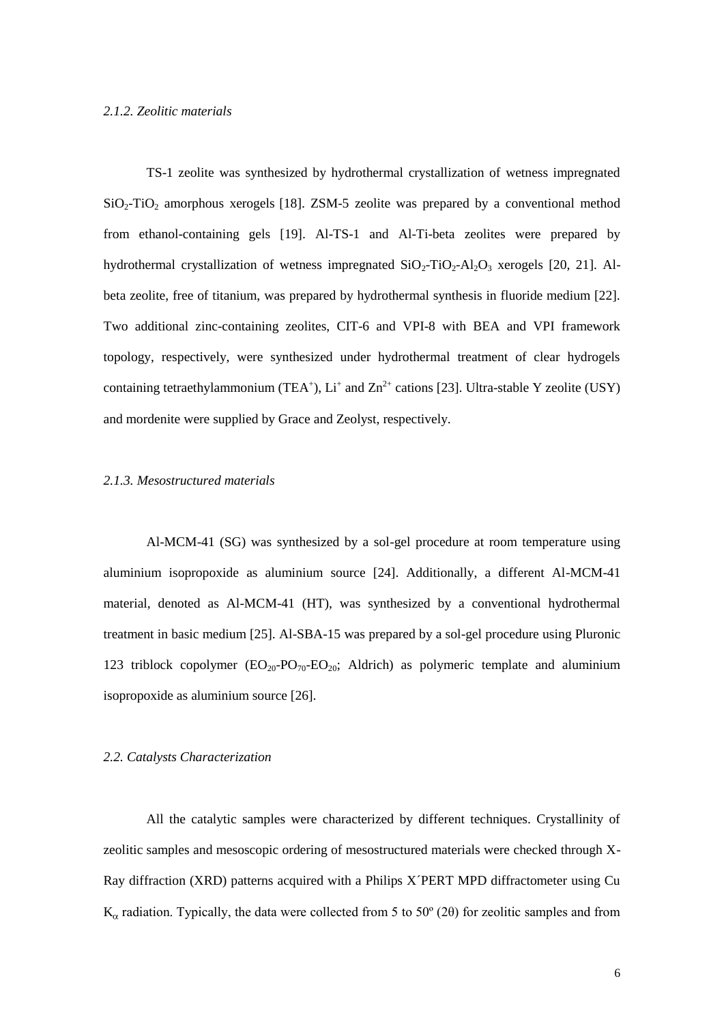## *2.1.2. Zeolitic materials*

TS-1 zeolite was synthesized by hydrothermal crystallization of wetness impregnated  $SiO<sub>2</sub>-TiO<sub>2</sub>$  amorphous xerogels [18]. ZSM-5 zeolite was prepared by a conventional method from ethanol-containing gels [19]. Al-TS-1 and Al-Ti-beta zeolites were prepared by hydrothermal crystallization of wetness impregnated  $SiO_2$ -TiO<sub>2</sub>-Al<sub>2</sub>O<sub>3</sub> xerogels [20, 21]. Albeta zeolite, free of titanium, was prepared by hydrothermal synthesis in fluoride medium [22]. Two additional zinc-containing zeolites, CIT-6 and VPI-8 with BEA and VPI framework topology, respectively, were synthesized under hydrothermal treatment of clear hydrogels containing tetraethylammonium (TEA<sup>+</sup>),  $Li^+$  and  $Zn^{2+}$  cations [23]. Ultra-stable Y zeolite (USY) and mordenite were supplied by Grace and Zeolyst, respectively.

### *2.1.3. Mesostructured materials*

Al-MCM-41 (SG) was synthesized by a sol-gel procedure at room temperature using aluminium isopropoxide as aluminium source [24]. Additionally, a different Al-MCM-41 material, denoted as Al-MCM-41 (HT), was synthesized by a conventional hydrothermal treatment in basic medium [25]. Al-SBA-15 was prepared by a sol-gel procedure using Pluronic 123 triblock copolymer  $(EO_{20} - PO_{70} - EO_{20}$ ; Aldrich) as polymeric template and aluminium isopropoxide as aluminium source [26].

### *2.2. Catalysts Characterization*

All the catalytic samples were characterized by different techniques. Crystallinity of zeolitic samples and mesoscopic ordering of mesostructured materials were checked through X-Ray diffraction (XRD) patterns acquired with a Philips X´PERT MPD diffractometer using Cu  $K_{\alpha}$  radiation. Typically, the data were collected from 5 to 50 $^{\circ}$  (2 $\theta$ ) for zeolitic samples and from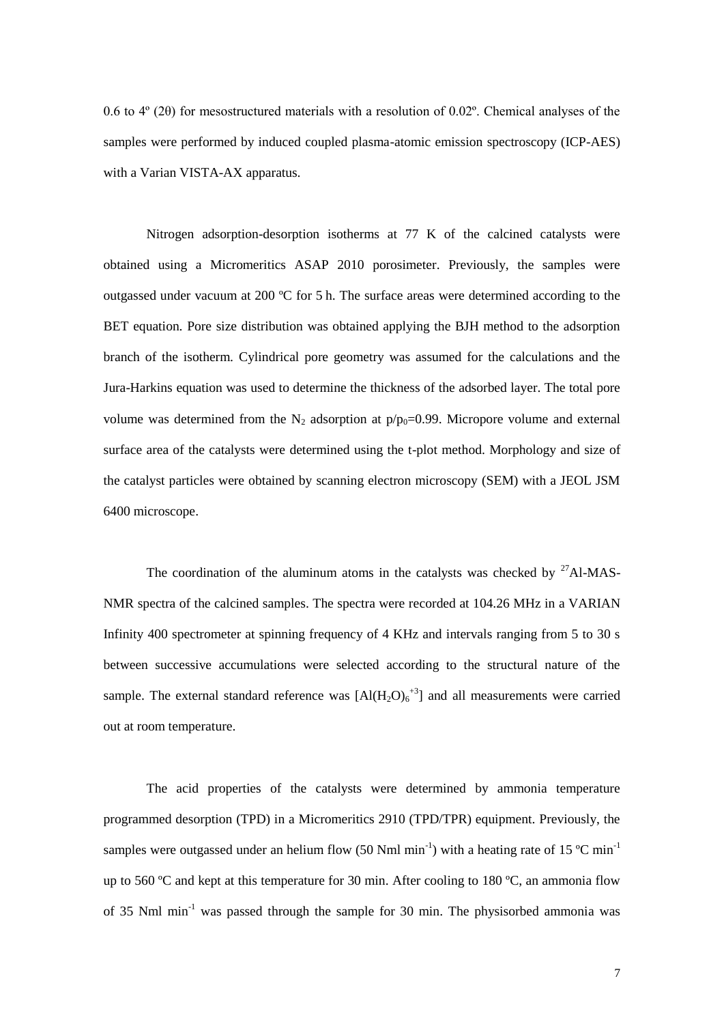0.6 to 4º (2θ) for mesostructured materials with a resolution of 0.02º. Chemical analyses of the samples were performed by induced coupled plasma-atomic emission spectroscopy (ICP-AES) with a Varian VISTA-AX apparatus.

Nitrogen adsorption-desorption isotherms at 77 K of the calcined catalysts were obtained using a Micromeritics ASAP 2010 porosimeter. Previously, the samples were outgassed under vacuum at 200 ºC for 5 h. The surface areas were determined according to the BET equation. Pore size distribution was obtained applying the BJH method to the adsorption branch of the isotherm. Cylindrical pore geometry was assumed for the calculations and the Jura-Harkins equation was used to determine the thickness of the adsorbed layer. The total pore volume was determined from the N<sub>2</sub> adsorption at  $p/p_0=0.99$ . Micropore volume and external surface area of the catalysts were determined using the t-plot method. Morphology and size of the catalyst particles were obtained by scanning electron microscopy (SEM) with a JEOL JSM 6400 microscope.

The coordination of the aluminum atoms in the catalysts was checked by  $27$ Al-MAS-NMR spectra of the calcined samples. The spectra were recorded at 104.26 MHz in a VARIAN Infinity 400 spectrometer at spinning frequency of 4 KHz and intervals ranging from 5 to 30 s between successive accumulations were selected according to the structural nature of the sample. The external standard reference was  $[A](H_2O)_6^{3}$  and all measurements were carried out at room temperature.

The acid properties of the catalysts were determined by ammonia temperature programmed desorption (TPD) in a Micromeritics 2910 (TPD/TPR) equipment. Previously, the samples were outgassed under an helium flow (50 Nml min<sup>-1</sup>) with a heating rate of 15 °C min<sup>-1</sup> up to 560  $^{\circ}$ C and kept at this temperature for 30 min. After cooling to 180  $^{\circ}$ C, an ammonia flow of 35 Nml min-1 was passed through the sample for 30 min. The physisorbed ammonia was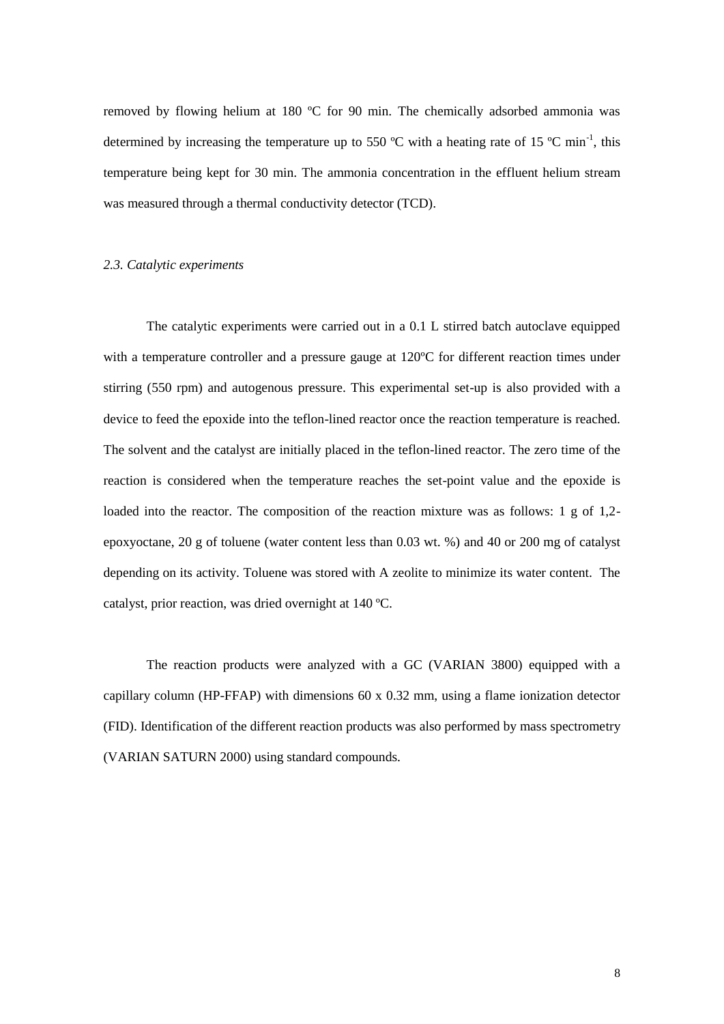removed by flowing helium at 180 ºC for 90 min. The chemically adsorbed ammonia was determined by increasing the temperature up to 550 °C with a heating rate of 15 °C min<sup>-1</sup>, this temperature being kept for 30 min. The ammonia concentration in the effluent helium stream was measured through a thermal conductivity detector (TCD).

## *2.3. Catalytic experiments*

The catalytic experiments were carried out in a 0.1 L stirred batch autoclave equipped with a temperature controller and a pressure gauge at 120ºC for different reaction times under stirring (550 rpm) and autogenous pressure. This experimental set-up is also provided with a device to feed the epoxide into the teflon-lined reactor once the reaction temperature is reached. The solvent and the catalyst are initially placed in the teflon-lined reactor. The zero time of the reaction is considered when the temperature reaches the set-point value and the epoxide is loaded into the reactor. The composition of the reaction mixture was as follows: 1 g of 1,2 epoxyoctane, 20 g of toluene (water content less than 0.03 wt. %) and 40 or 200 mg of catalyst depending on its activity. Toluene was stored with A zeolite to minimize its water content. The catalyst, prior reaction, was dried overnight at 140 ºC.

The reaction products were analyzed with a GC (VARIAN 3800) equipped with a capillary column (HP-FFAP) with dimensions  $60 \times 0.32$  mm, using a flame ionization detector (FID). Identification of the different reaction products was also performed by mass spectrometry (VARIAN SATURN 2000) using standard compounds.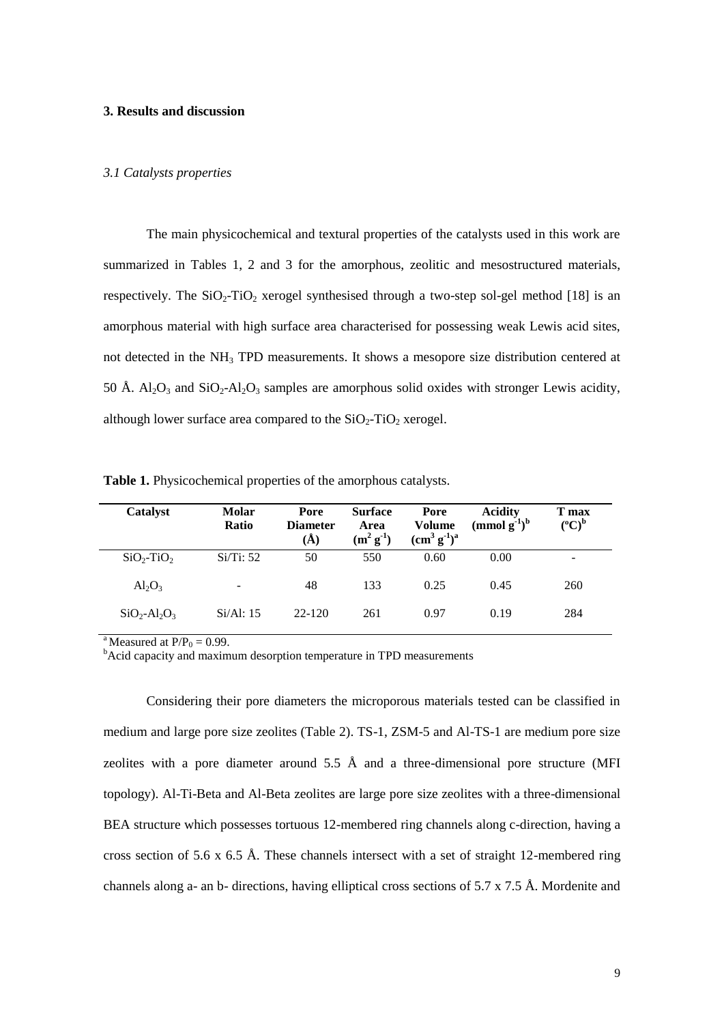# **3. Results and discussion**

## *3.1 Catalysts properties*

The main physicochemical and textural properties of the catalysts used in this work are summarized in Tables 1, 2 and 3 for the amorphous, zeolitic and mesostructured materials, respectively. The  $SiO_2$ -TiO<sub>2</sub> xerogel synthesised through a two-step sol-gel method [18] is an amorphous material with high surface area characterised for possessing weak Lewis acid sites, not detected in the NH<sub>3</sub> TPD measurements. It shows a mesopore size distribution centered at 50 Å.  $Al_2O_3$  and  $SiO_2-Al_2O_3$  samples are amorphous solid oxides with stronger Lewis acidity, although lower surface area compared to the  $SiO_2$ -TiO<sub>2</sub> xerogel.

| Catalyst        | <b>Molar</b><br>Ratio    | Pore<br><b>Diameter</b><br>$\rm(\AA)$ | <b>Surface</b><br>Area<br>$(m^2 g^{-1})$ | Pore<br><b>Volume</b><br>$(cm3 g-1)a$ | <b>Acidity</b><br>$\pmod{g^{-1}}^b$ | T max<br>$({}^oC)^b$ |
|-----------------|--------------------------|---------------------------------------|------------------------------------------|---------------------------------------|-------------------------------------|----------------------|
| $SiO2-TiO2$     | Si/Ti: 52                | 50                                    | 550                                      | 0.60                                  | 0.00                                |                      |
| $Al_2O_3$       | $\overline{\phantom{0}}$ | 48                                    | 133                                      | 0.25                                  | 0.45                                | 260                  |
| $SiO_2-Al_2O_3$ | Si/Al: 15                | $22 - 120$                            | 261                                      | 0.97                                  | 0.19                                | 284                  |

**Table 1.** Physicochemical properties of the amorphous catalysts.

<sup>a</sup>Measured at  $P/P_0 = 0.99$ .

<sup>b</sup>Acid capacity and maximum desorption temperature in TPD measurements

Considering their pore diameters the microporous materials tested can be classified in medium and large pore size zeolites (Table 2). TS-1, ZSM-5 and Al-TS-1 are medium pore size zeolites with a pore diameter around  $5.5 \text{ Å}$  and a three-dimensional pore structure (MFI topology). Al-Ti-Beta and Al-Beta zeolites are large pore size zeolites with a three-dimensional BEA structure which possesses tortuous 12-membered ring channels along c-direction, having a cross section of 5.6 x 6.5 Å. These channels intersect with a set of straight 12-membered ring channels along a- an b- directions, having elliptical cross sections of 5.7 x 7.5 Å. Mordenite and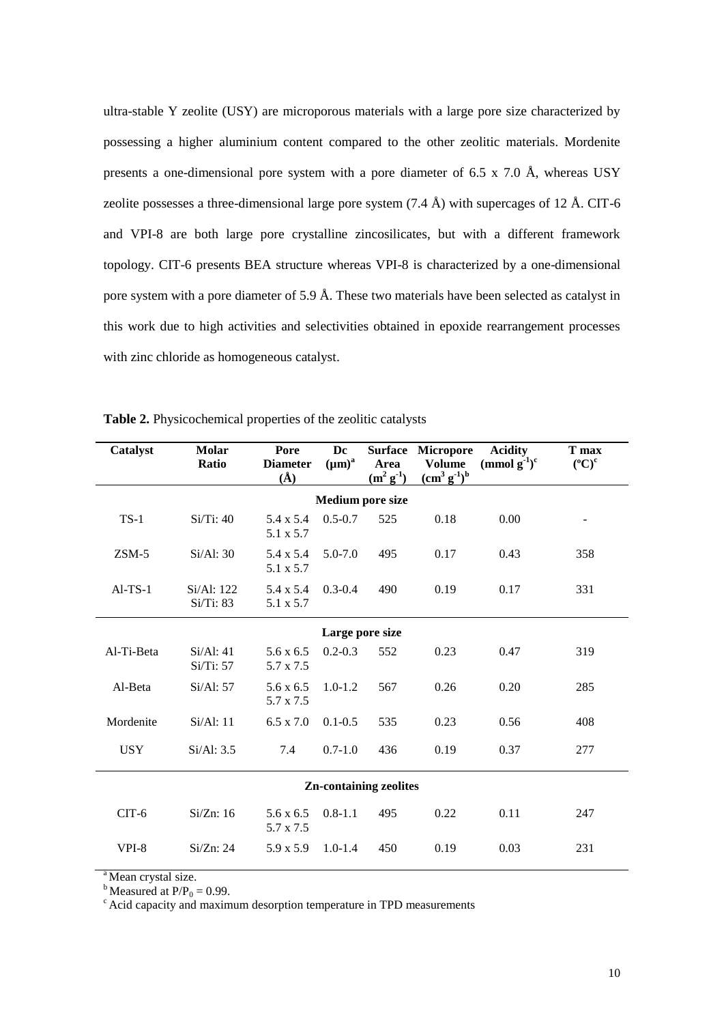ultra-stable Y zeolite (USY) are microporous materials with a large pore size characterized by possessing a higher aluminium content compared to the other zeolitic materials. Mordenite presents a one-dimensional pore system with a pore diameter of 6.5 x 7.0 Å, whereas USY zeolite possesses a three-dimensional large pore system  $(7.4 \text{ Å})$  with supercages of 12 Å. CIT-6 and VPI-8 are both large pore crystalline zincosilicates, but with a different framework topology. CIT-6 presents BEA structure whereas VPI-8 is characterized by a one-dimensional pore system with a pore diameter of 5.9 Å. These two materials have been selected as catalyst in this work due to high activities and selectivities obtained in epoxide rearrangement processes with zinc chloride as homogeneous catalyst.

| Catalyst                      | <b>Molar</b><br>Ratio   | Pore<br><b>Diameter</b><br>$\rm(\AA)$ | Dc<br>$(\mu m)^a$ | Area<br>$(m^2 g^{\text{-}1})$ | <b>Surface Micropore</b><br><b>Volume</b><br>$(cm3 g-1)b$ | <b>Acidity</b><br>(mmol $g^{-1}$ ) <sup>c</sup> | T max<br>$(^{\circ}C)^{\circ}$ |  |  |
|-------------------------------|-------------------------|---------------------------------------|-------------------|-------------------------------|-----------------------------------------------------------|-------------------------------------------------|--------------------------------|--|--|
| <b>Medium pore size</b>       |                         |                                       |                   |                               |                                                           |                                                 |                                |  |  |
| $TS-1$                        | Si/Ti: 40               | 5.4 x 5.4<br>5.1 x 5.7                | $0.5 - 0.7$       | 525                           | 0.18                                                      | 0.00                                            |                                |  |  |
| $ZSM-5$                       | Si/Al: 30               | 5.4 x 5.4<br>5.1 x 5.7                | $5.0 - 7.0$       | 495                           | 0.17                                                      | 0.43                                            | 358                            |  |  |
| $AI-TS-1$                     | Si/Al: 122<br>Si/Ti: 83 | 5.4 x 5.4<br>5.1 x 5.7                | $0.3 - 0.4$       | 490                           | 0.19                                                      | 0.17                                            | 331                            |  |  |
| Large pore size               |                         |                                       |                   |                               |                                                           |                                                 |                                |  |  |
| Al-Ti-Beta                    | Si/Al: 41<br>Si/Ti: 57  | $5.6 \times 6.5$<br>5.7 x 7.5         | $0.2 - 0.3$       | 552                           | 0.23                                                      | 0.47                                            | 319                            |  |  |
| Al-Beta                       | Si/Al: 57               | $5.6 \times 6.5$<br>5.7 x 7.5         | $1.0 - 1.2$       | 567                           | 0.26                                                      | 0.20                                            | 285                            |  |  |
| Mordenite                     | Si/Al: 11               | $6.5 \times 7.0$                      | $0.1 - 0.5$       | 535                           | 0.23                                                      | 0.56                                            | 408                            |  |  |
| <b>USY</b>                    | Si/Al: 3.5              | 7.4                                   | $0.7 - 1.0$       | 436                           | 0.19                                                      | 0.37                                            | 277                            |  |  |
| <b>Zn-containing zeolites</b> |                         |                                       |                   |                               |                                                           |                                                 |                                |  |  |
| $CIT-6$                       | Si/Zn: 16               | $5.6 \times 6.5$<br>5.7 x 7.5         | $0.8 - 1.1$       | 495                           | 0.22                                                      | 0.11                                            | 247                            |  |  |
| VPI-8                         | Si/Zn: 24               | $5.9 \times 5.9$                      | $1.0 - 1.4$       | 450                           | 0.19                                                      | 0.03                                            | 231                            |  |  |

**Table 2.** Physicochemical properties of the zeolitic catalysts

<sup>a</sup>Mean crystal size.

 $b$  Measured at P/P<sub>0</sub> = 0.99.

cAcid capacity and maximum desorption temperature in TPD measurements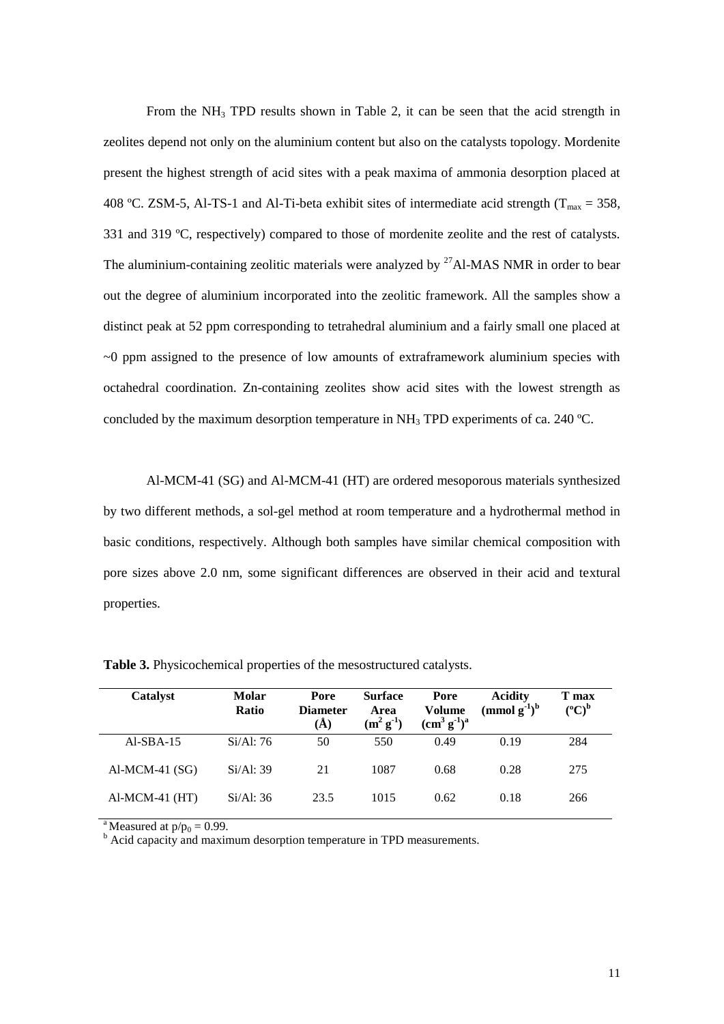From the  $NH<sub>3</sub>$  TPD results shown in Table 2, it can be seen that the acid strength in zeolites depend not only on the aluminium content but also on the catalysts topology. Mordenite present the highest strength of acid sites with a peak maxima of ammonia desorption placed at 408 °C. ZSM-5, Al-TS-1 and Al-Ti-beta exhibit sites of intermediate acid strength ( $T_{max} = 358$ , 331 and 319 ºC, respectively) compared to those of mordenite zeolite and the rest of catalysts. The aluminium-containing zeolitic materials were analyzed by  $27$ Al-MAS NMR in order to bear out the degree of aluminium incorporated into the zeolitic framework. All the samples show a distinct peak at 52 ppm corresponding to tetrahedral aluminium and a fairly small one placed at ~0 ppm assigned to the presence of low amounts of extraframework aluminium species with octahedral coordination. Zn-containing zeolites show acid sites with the lowest strength as concluded by the maximum desorption temperature in  $NH<sub>3</sub>$  TPD experiments of ca. 240 °C.

Al-MCM-41 (SG) and Al-MCM-41 (HT) are ordered mesoporous materials synthesized by two different methods, a sol-gel method at room temperature and a hydrothermal method in basic conditions, respectively. Although both samples have similar chemical composition with pore sizes above 2.0 nm, some significant differences are observed in their acid and textural properties.

| Catalyst         | Molar<br><b>Ratio</b> | Pore<br><b>Diameter</b><br>$\AA$ | <b>Surface</b><br>Area<br>$(m^2 g^{\text{-}1})$ | Pore<br>Volume<br>$(cm3 g-1)a$ | <b>Acidity</b><br>$\pmod{g^{-1}}^b$ | T max<br>$({}^{\circ}C)^{b}$ |
|------------------|-----------------------|----------------------------------|-------------------------------------------------|--------------------------------|-------------------------------------|------------------------------|
| $AI-SBA-15$      | Si/Al:76              | 50                               | 550                                             | 0.49                           | 0.19                                | 284                          |
| $AI-MCM-41(SG)$  | Si/Al: 39             | 21                               | 1087                                            | 0.68                           | 0.28                                | 275                          |
| $AI-MCM-41$ (HT) | Si/Al: 36             | 23.5                             | 1015                                            | 0.62                           | 0.18                                | 266                          |

**Table 3.** Physicochemical properties of the mesostructured catalysts.

<sup>a</sup>Measured at  $p/p_0 = 0.99$ .

 $b^b$  Acid capacity and maximum desorption temperature in TPD measurements.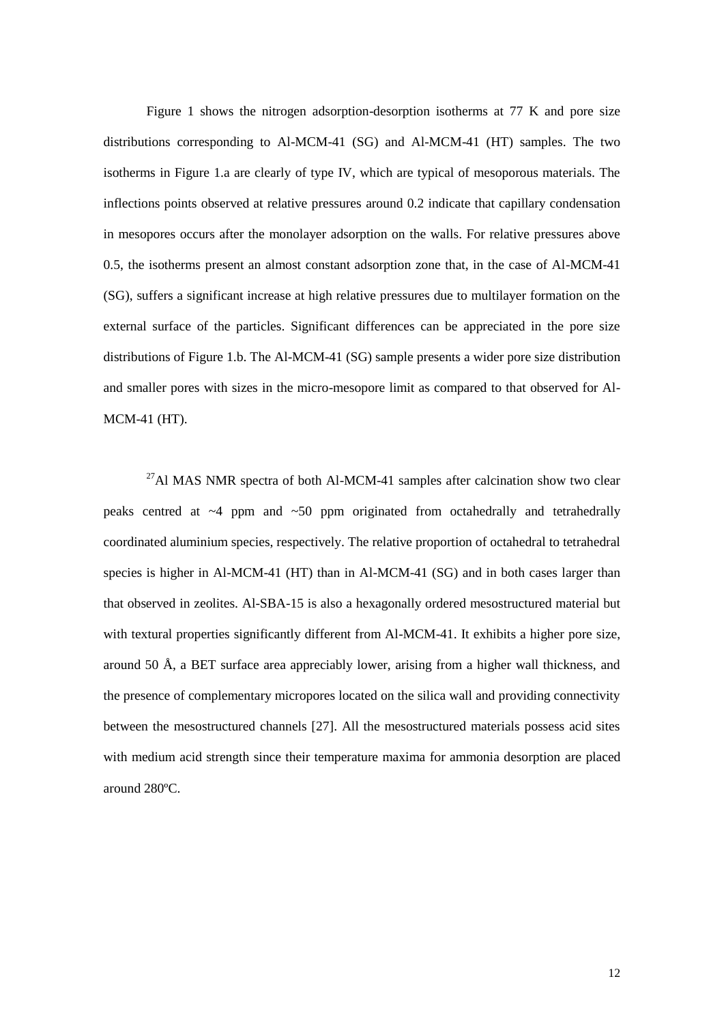Figure 1 shows the nitrogen adsorption-desorption isotherms at 77 K and pore size distributions corresponding to Al-MCM-41 (SG) and Al-MCM-41 (HT) samples. The two isotherms in Figure 1.a are clearly of type IV, which are typical of mesoporous materials. The inflections points observed at relative pressures around 0.2 indicate that capillary condensation in mesopores occurs after the monolayer adsorption on the walls. For relative pressures above 0.5, the isotherms present an almost constant adsorption zone that, in the case of Al-MCM-41 (SG), suffers a significant increase at high relative pressures due to multilayer formation on the external surface of the particles. Significant differences can be appreciated in the pore size distributions of Figure 1.b. The Al-MCM-41 (SG) sample presents a wider pore size distribution and smaller pores with sizes in the micro-mesopore limit as compared to that observed for Al-MCM-41 (HT).

 $^{27}$ Al MAS NMR spectra of both Al-MCM-41 samples after calcination show two clear peaks centred at  $\sim$ 4 ppm and  $\sim$ 50 ppm originated from octahedrally and tetrahedrally coordinated aluminium species, respectively. The relative proportion of octahedral to tetrahedral species is higher in Al-MCM-41 (HT) than in Al-MCM-41 (SG) and in both cases larger than that observed in zeolites. Al-SBA-15 is also a hexagonally ordered mesostructured material but with textural properties significantly different from Al-MCM-41. It exhibits a higher pore size, around 50 Å, a BET surface area appreciably lower, arising from a higher wall thickness, and the presence of complementary micropores located on the silica wall and providing connectivity between the mesostructured channels [27]. All the mesostructured materials possess acid sites with medium acid strength since their temperature maxima for ammonia desorption are placed around 280ºC.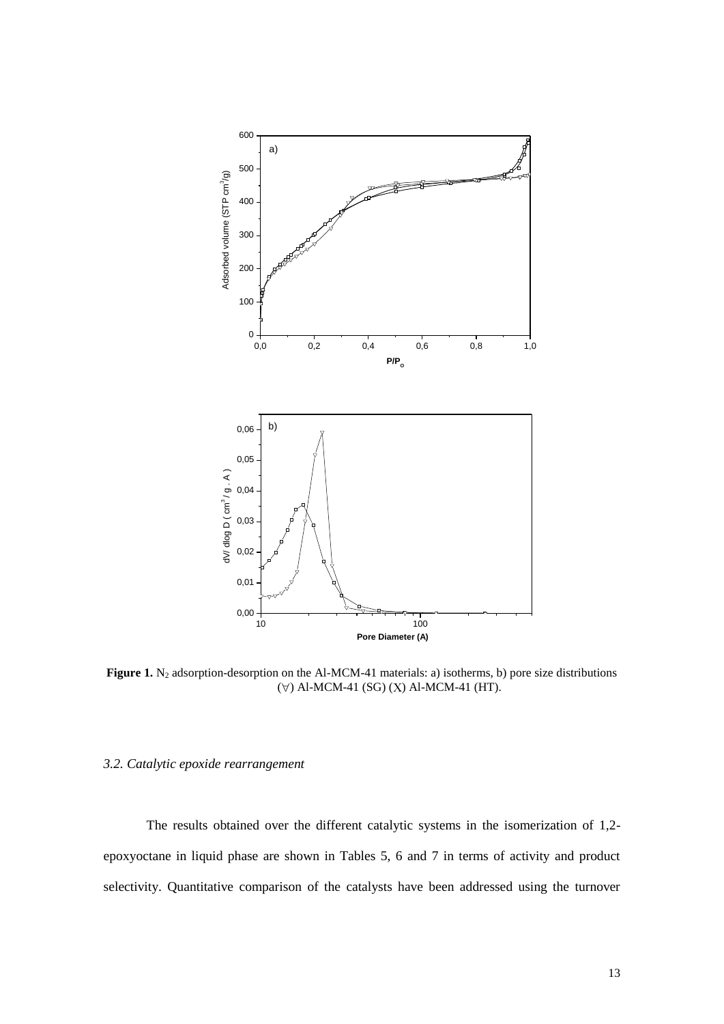

**Figure 1.** N<sub>2</sub> adsorption-desorption on the Al-MCM-41 materials: a) isotherms, b) pore size distributions  $(\forall)$  Al-MCM-41 (SG) (X) Al-MCM-41 (HT).

## *3.2. Catalytic epoxide rearrangement*

The results obtained over the different catalytic systems in the isomerization of 1,2 epoxyoctane in liquid phase are shown in Tables 5, 6 and 7 in terms of activity and product selectivity. Quantitative comparison of the catalysts have been addressed using the turnover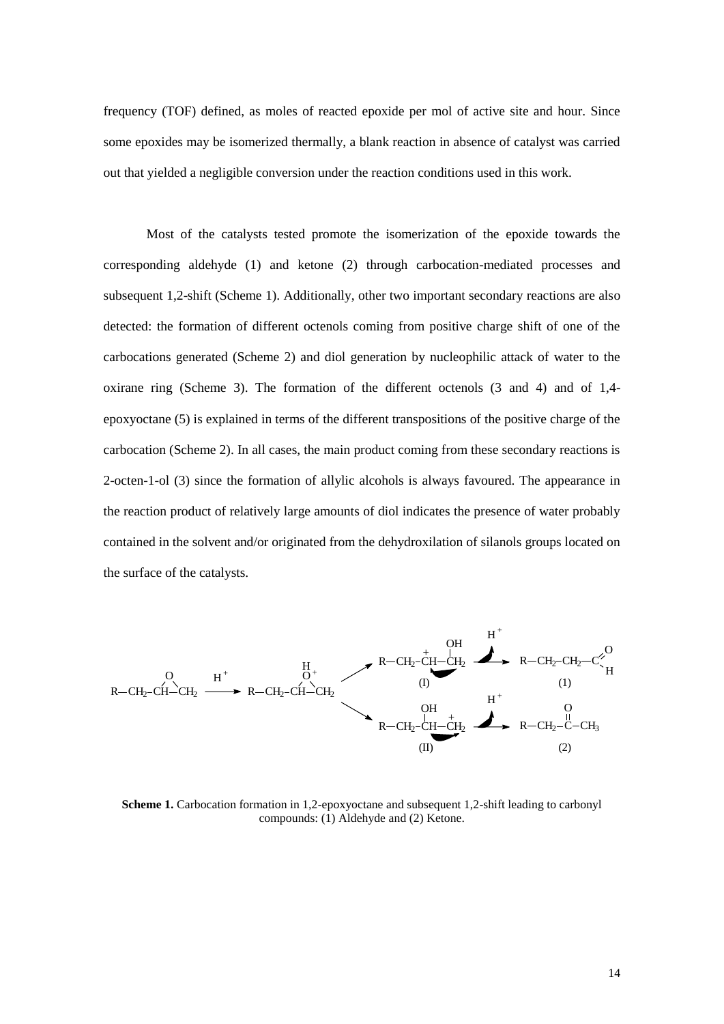frequency (TOF) defined, as moles of reacted epoxide per mol of active site and hour. Since some epoxides may be isomerized thermally, a blank reaction in absence of catalyst was carried out that yielded a negligible conversion under the reaction conditions used in this work.

Most of the catalysts tested promote the isomerization of the epoxide towards the corresponding aldehyde (1) and ketone (2) through carbocation-mediated processes and subsequent 1,2-shift (Scheme 1). Additionally, other two important secondary reactions are also detected: the formation of different octenols coming from positive charge shift of one of the carbocations generated (Scheme 2) and diol generation by nucleophilic attack of water to the oxirane ring (Scheme 3). The formation of the different octenols (3 and 4) and of 1,4 epoxyoctane (5) is explained in terms of the different transpositions of the positive charge of the carbocation (Scheme 2). In all cases, the main product coming from these secondary reactions is 2-octen-1-ol (3) since the formation of allylic alcohols is always favoured. The appearance in the reaction product of relatively large amounts of diol indicates the presence of water probably contained in the solvent and/or originated from the dehydroxilation of silanols groups located on the surface of the catalysts.



**Scheme 1.** Carbocation formation in 1,2-epoxyoctane and subsequent 1,2-shift leading to carbonyl compounds: (1) Aldehyde and (2) Ketone.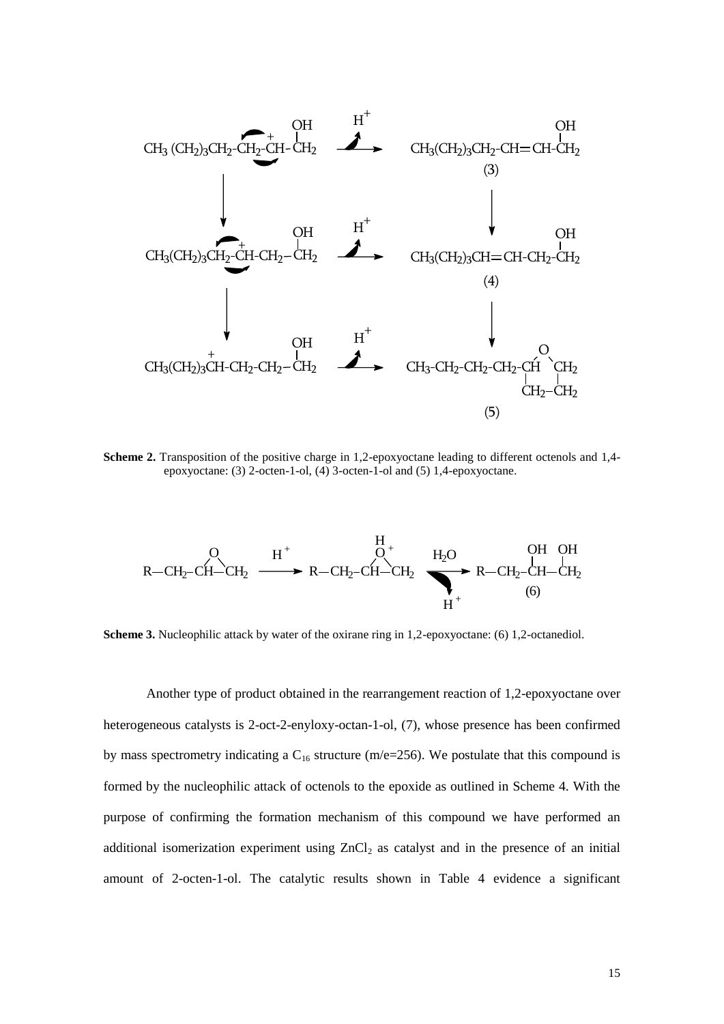

**Scheme 2.** Transposition of the positive charge in 1,2-epoxyoctane leading to different octenols and 1,4 epoxyoctane: (3) 2-octen-1-ol, (4) 3-octen-1-ol and (5) 1,4-epoxyoctane.



**Scheme 3.** Nucleophilic attack by water of the oxirane ring in 1,2-epoxyoctane: (6) 1,2-octanediol.

Another type of product obtained in the rearrangement reaction of 1,2-epoxyoctane over heterogeneous catalysts is 2-oct-2-enyloxy-octan-1-ol, (7), whose presence has been confirmed by mass spectrometry indicating a  $C_{16}$  structure (m/e=256). We postulate that this compound is formed by the nucleophilic attack of octenols to the epoxide as outlined in Scheme 4. With the purpose of confirming the formation mechanism of this compound we have performed an additional isomerization experiment using  $ZnCl<sub>2</sub>$  as catalyst and in the presence of an initial amount of 2-octen-1-ol. The catalytic results shown in Table 4 evidence a significant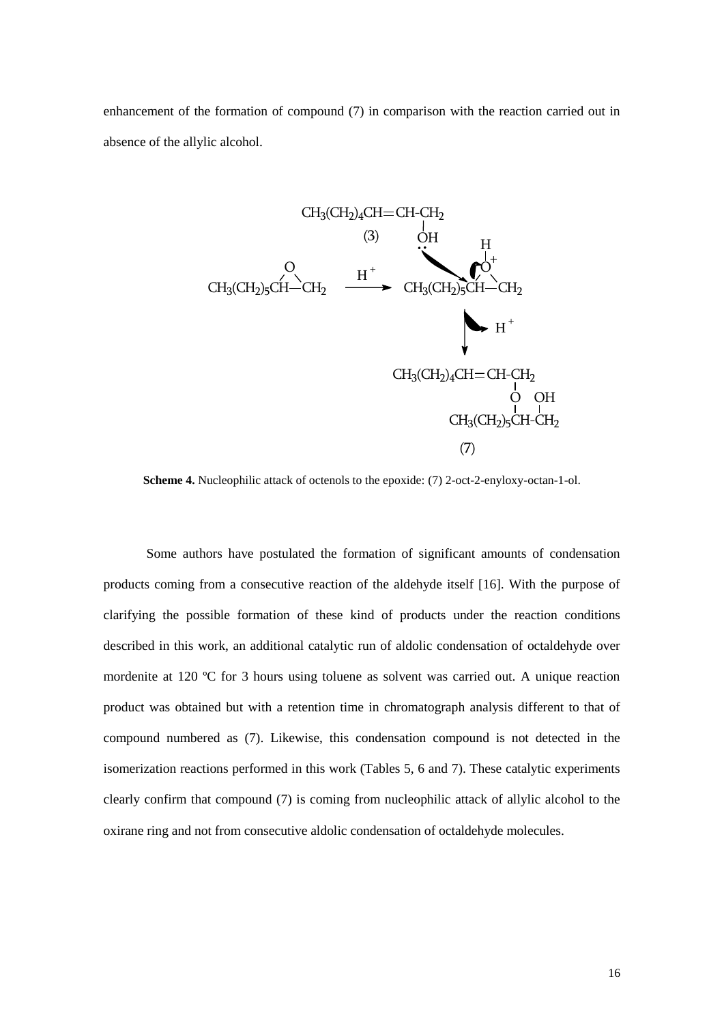enhancement of the formation of compound (7) in comparison with the reaction carried out in absence of the allylic alcohol.



**Scheme 4.** Nucleophilic attack of octenols to the epoxide: (7) 2-oct-2-enyloxy-octan-1-ol.

Some authors have postulated the formation of significant amounts of condensation products coming from a consecutive reaction of the aldehyde itself [16]. With the purpose of clarifying the possible formation of these kind of products under the reaction conditions described in this work, an additional catalytic run of aldolic condensation of octaldehyde over mordenite at 120 ºC for 3 hours using toluene as solvent was carried out. A unique reaction product was obtained but with a retention time in chromatograph analysis different to that of compound numbered as (7). Likewise, this condensation compound is not detected in the isomerization reactions performed in this work (Tables 5, 6 and 7). These catalytic experiments clearly confirm that compound (7) is coming from nucleophilic attack of allylic alcohol to the oxirane ring and not from consecutive aldolic condensation of octaldehyde molecules.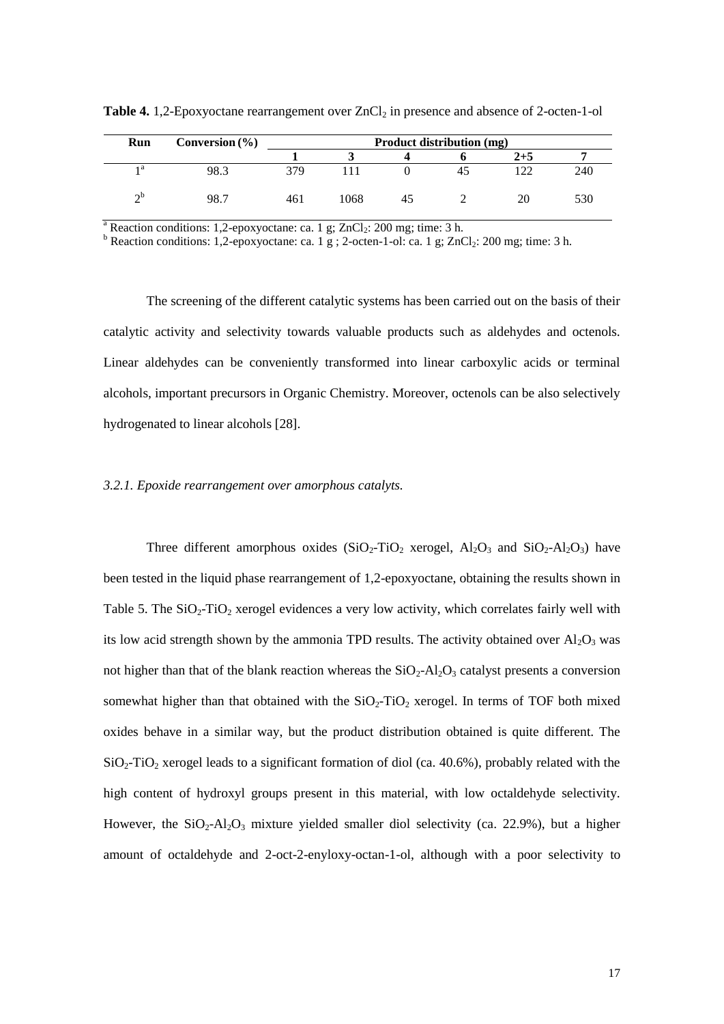| Run      | Conversion $(\% )$ | Product distribution (mg) |      |    |  |         |     |  |  |
|----------|--------------------|---------------------------|------|----|--|---------|-----|--|--|
|          |                    |                           |      |    |  | $2 + 5$ |     |  |  |
| 1 a      | 98.3               | 379                       |      |    |  | ר רו    | 240 |  |  |
| $\sim$ b | 98.7               | 461                       | 1068 | 45 |  | 20      | 530 |  |  |

**Table 4.** 1,2-Epoxyoctane rearrangement over ZnCl<sub>2</sub> in presence and absence of 2-octen-1-ol

<sup>a</sup> Reaction conditions: 1,2-epoxyoctane: ca. 1 g; ZnCl<sub>2</sub>: 200 mg; time: 3 h.

 $\overline{b}$  Reaction conditions: 1,2-epoxyoctane: ca. 1 g ; 2-octen-1-ol: ca. 1 g; ZnCl<sub>2</sub>: 200 mg; time: 3 h.

The screening of the different catalytic systems has been carried out on the basis of their catalytic activity and selectivity towards valuable products such as aldehydes and octenols. Linear aldehydes can be conveniently transformed into linear carboxylic acids or terminal alcohols, important precursors in Organic Chemistry. Moreover, octenols can be also selectively hydrogenated to linear alcohols [28].

# *3.2.1. Epoxide rearrangement over amorphous catalyts.*

Three different amorphous oxides  $(SiO_2-TiO_2$  xerogel,  $Al_2O_3$  and  $SiO_2-Al_2O_3$ ) have been tested in the liquid phase rearrangement of 1,2-epoxyoctane, obtaining the results shown in Table 5. The  $SiO_2$ -TiO<sub>2</sub> xerogel evidences a very low activity, which correlates fairly well with its low acid strength shown by the ammonia TPD results. The activity obtained over  $Al_2O_3$  was not higher than that of the blank reaction whereas the  $SiO<sub>2</sub>-Al<sub>2</sub>O<sub>3</sub>$  catalyst presents a conversion somewhat higher than that obtained with the  $SiO_2$ -TiO<sub>2</sub> xerogel. In terms of TOF both mixed oxides behave in a similar way, but the product distribution obtained is quite different. The  $SiO<sub>2</sub>-TiO<sub>2</sub>$  xerogel leads to a significant formation of diol (ca. 40.6%), probably related with the high content of hydroxyl groups present in this material, with low octaldehyde selectivity. However, the  $SiO<sub>2</sub>-Al<sub>2</sub>O<sub>3</sub>$  mixture yielded smaller diol selectivity (ca. 22.9%), but a higher amount of octaldehyde and 2-oct-2-enyloxy-octan-1-ol, although with a poor selectivity to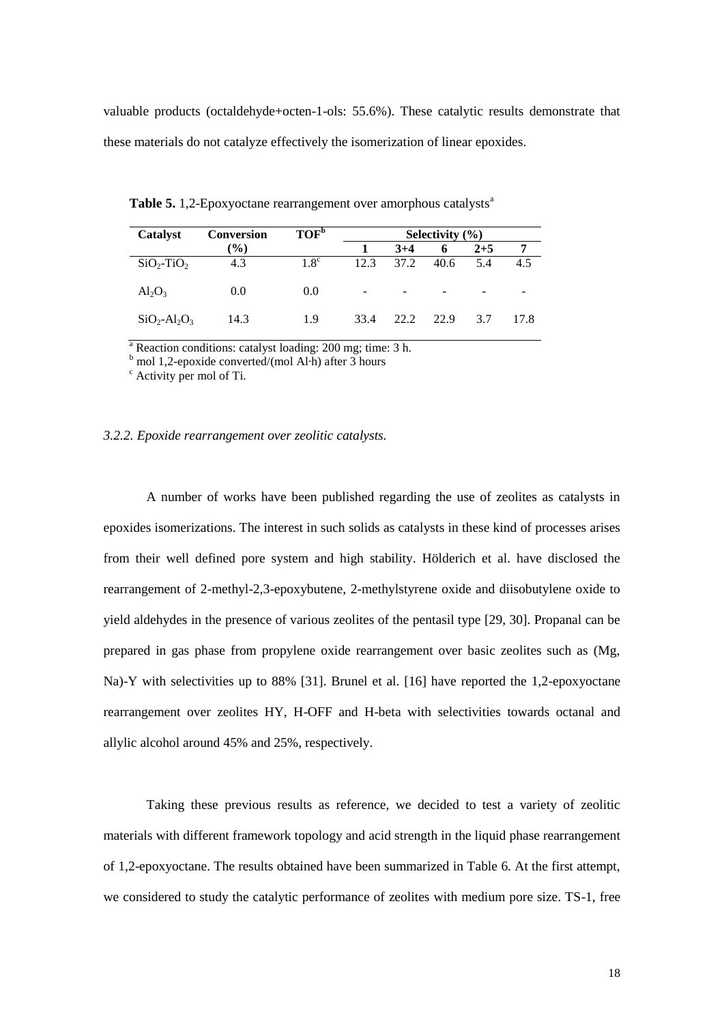valuable products (octaldehyde+octen-1-ols: 55.6%). These catalytic results demonstrate that these materials do not catalyze effectively the isomerization of linear epoxides.

| Catalyst                  | <b>Conversion</b> | TOF <sup>b</sup> | Selectivity $(\% )$ |       |      |         |      |  |  |
|---------------------------|-------------------|------------------|---------------------|-------|------|---------|------|--|--|
|                           | $\mathcal{O}_0$   |                  |                     | $3+4$ | 6    | $2 + 5$ |      |  |  |
| $SiO_2$ -TiO <sub>2</sub> | 4.3               | $1.8^{\circ}$    | 12.3                | 37.2  | 40.6 | 5.4     | 4.5  |  |  |
| $Al_2O_3$                 | 0.0               | 0.0              | -                   | -     |      |         |      |  |  |
| $SiO_2-Al_2O_3$           | 14.3              | 1.9              | 33.4                | 22.2  | 22.9 | 3.7     | 17.8 |  |  |

**Table 5.** 1,2-Epoxyoctane rearrangement over amorphous catalysts<sup>a</sup>

 $a<sup>a</sup>$  Reaction conditions: catalyst loading: 200 mg; time: 3 h.

 $b$  mol 1,2-epoxide converted/(mol Al·h) after 3 hours

<sup>c</sup> Activity per mol of Ti.

## *3.2.2. Epoxide rearrangement over zeolitic catalysts.*

A number of works have been published regarding the use of zeolites as catalysts in epoxides isomerizations. The interest in such solids as catalysts in these kind of processes arises from their well defined pore system and high stability. Hölderich et al. have disclosed the rearrangement of 2-methyl-2,3-epoxybutene, 2-methylstyrene oxide and diisobutylene oxide to yield aldehydes in the presence of various zeolites of the pentasil type [29, 30]. Propanal can be prepared in gas phase from propylene oxide rearrangement over basic zeolites such as (Mg, Na)-Y with selectivities up to 88% [31]. Brunel et al. [16] have reported the 1,2-epoxyoctane rearrangement over zeolites HY, H-OFF and H-beta with selectivities towards octanal and allylic alcohol around 45% and 25%, respectively.

Taking these previous results as reference, we decided to test a variety of zeolitic materials with different framework topology and acid strength in the liquid phase rearrangement of 1,2-epoxyoctane. The results obtained have been summarized in Table 6. At the first attempt, we considered to study the catalytic performance of zeolites with medium pore size. TS-1, free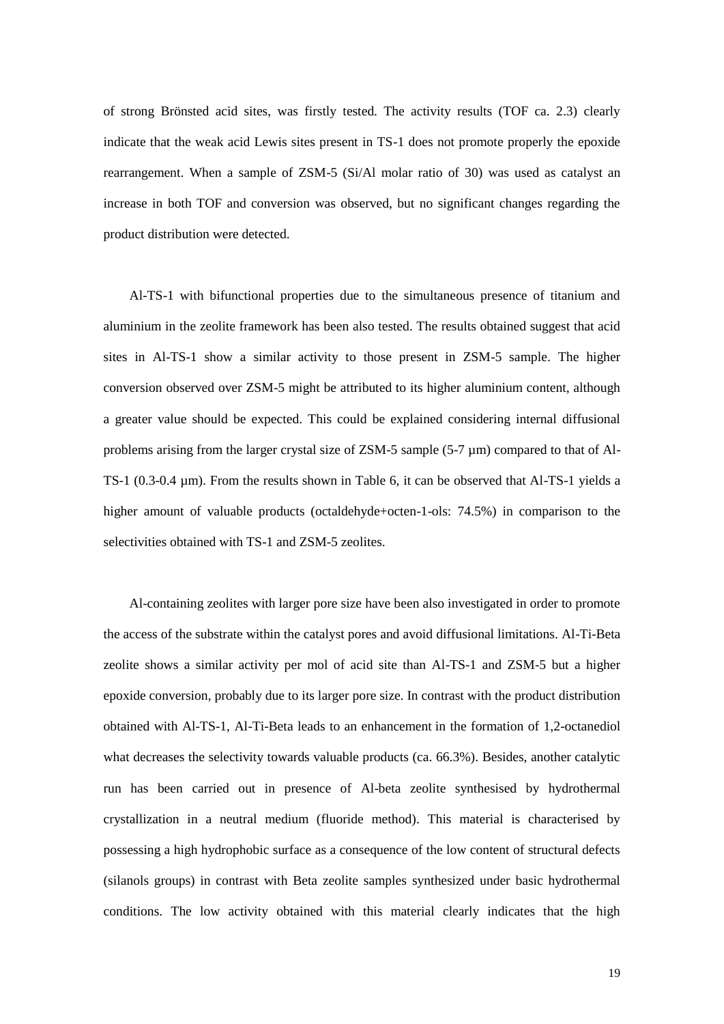of strong Brönsted acid sites, was firstly tested. The activity results (TOF ca. 2.3) clearly indicate that the weak acid Lewis sites present in TS-1 does not promote properly the epoxide rearrangement. When a sample of ZSM-5 (Si/Al molar ratio of 30) was used as catalyst an increase in both TOF and conversion was observed, but no significant changes regarding the product distribution were detected.

Al-TS-1 with bifunctional properties due to the simultaneous presence of titanium and aluminium in the zeolite framework has been also tested. The results obtained suggest that acid sites in Al-TS-1 show a similar activity to those present in ZSM-5 sample. The higher conversion observed over ZSM-5 might be attributed to its higher aluminium content, although a greater value should be expected. This could be explained considering internal diffusional problems arising from the larger crystal size of ZSM-5 sample (5-7 µm) compared to that of Al-TS-1 (0.3-0.4 µm). From the results shown in Table 6, it can be observed that Al-TS-1 yields a higher amount of valuable products (octaldehyde+octen-1-ols: 74.5%) in comparison to the selectivities obtained with TS-1 and ZSM-5 zeolites.

Al-containing zeolites with larger pore size have been also investigated in order to promote the access of the substrate within the catalyst pores and avoid diffusional limitations. Al-Ti-Beta zeolite shows a similar activity per mol of acid site than Al-TS-1 and ZSM-5 but a higher epoxide conversion, probably due to its larger pore size. In contrast with the product distribution obtained with Al-TS-1, Al-Ti-Beta leads to an enhancement in the formation of 1,2-octanediol what decreases the selectivity towards valuable products (ca. 66.3%). Besides, another catalytic run has been carried out in presence of Al-beta zeolite synthesised by hydrothermal crystallization in a neutral medium (fluoride method). This material is characterised by possessing a high hydrophobic surface as a consequence of the low content of structural defects (silanols groups) in contrast with Beta zeolite samples synthesized under basic hydrothermal conditions. The low activity obtained with this material clearly indicates that the high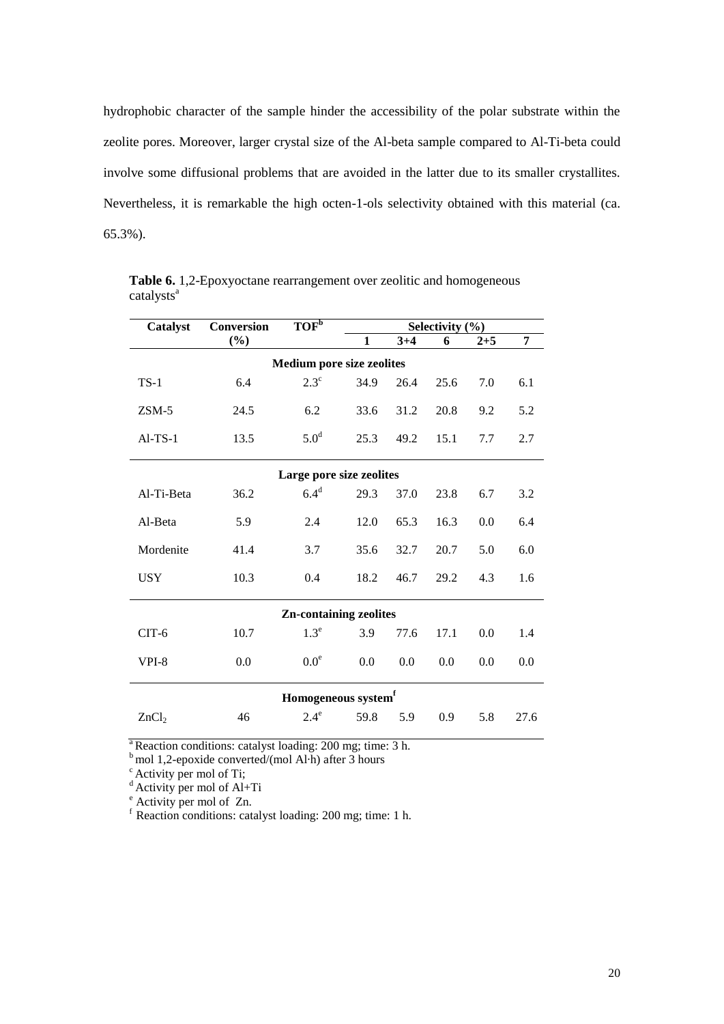hydrophobic character of the sample hinder the accessibility of the polar substrate within the zeolite pores. Moreover, larger crystal size of the Al-beta sample compared to Al-Ti-beta could involve some diffusional problems that are avoided in the latter due to its smaller crystallites. Nevertheless, it is remarkable the high octen-1-ols selectivity obtained with this material (ca. 65.3%).

| Catalyst                         | Conversion               | TOF <sub>p</sub>                | Selectivity (%) |         |      |         |      |  |  |  |  |
|----------------------------------|--------------------------|---------------------------------|-----------------|---------|------|---------|------|--|--|--|--|
|                                  | $(\%)$                   |                                 | 1               | $3 + 4$ | 6    | $2 + 5$ | 7    |  |  |  |  |
| <b>Medium pore size zeolites</b> |                          |                                 |                 |         |      |         |      |  |  |  |  |
| $TS-1$                           | 6.4                      | $2.3^{\circ}$                   | 34.9            | 26.4    | 25.6 | 7.0     | 6.1  |  |  |  |  |
| $ZSM-5$                          | 24.5                     | 6.2                             | 33.6            | 31.2    | 20.8 | 9.2     | 5.2  |  |  |  |  |
| $AI-TS-1$                        | 13.5                     | 5.0 <sup>d</sup>                | 25.3            | 49.2    | 15.1 | 7.7     | 2.7  |  |  |  |  |
|                                  | Large pore size zeolites |                                 |                 |         |      |         |      |  |  |  |  |
| Al-Ti-Beta                       | 36.2                     | 6.4 <sup>d</sup>                | 29.3            | 37.0    | 23.8 | 6.7     | 3.2  |  |  |  |  |
| Al-Beta                          | 5.9                      | 2.4                             | 12.0            | 65.3    | 16.3 | 0.0     | 6.4  |  |  |  |  |
| Mordenite                        | 41.4                     | 3.7                             | 35.6            | 32.7    | 20.7 | 5.0     | 6.0  |  |  |  |  |
| <b>USY</b>                       | 10.3                     | 0.4                             | 18.2            | 46.7    | 29.2 | 4.3     | 1.6  |  |  |  |  |
|                                  |                          | <b>Zn-containing zeolites</b>   |                 |         |      |         |      |  |  |  |  |
| $CIT-6$                          | 10.7                     | $1.3^e$                         | 3.9             | 77.6    | 17.1 | 0.0     | 1.4  |  |  |  |  |
| VPI-8                            | 0.0                      | 0.0 <sup>e</sup>                | 0.0             | 0.0     | 0.0  | 0.0     | 0.0  |  |  |  |  |
|                                  |                          | Homogeneous system <sup>f</sup> |                 |         |      |         |      |  |  |  |  |
| ZnCl <sub>2</sub>                | 46                       | $2.4^\mathrm{e}$                | 59.8            | 5.9     | 0.9  | 5.8     | 27.6 |  |  |  |  |

**Table 6.** 1,2-Epoxyoctane rearrangement over zeolitic and homogeneous catalysts<sup>a</sup>

<sup>a</sup> Reaction conditions: catalyst loading: 200 mg; time:  $3 h$ .

 $b$  mol 1,2-epoxide converted/(mol Al·h) after 3 hours

 $\textdegree$  Activity per mol of Ti;

 $d$  Activity per mol of Al+Ti

<sup>e</sup> Activity per mol of Zn.

 $f$  Reaction conditions: catalyst loading: 200 mg; time: 1 h.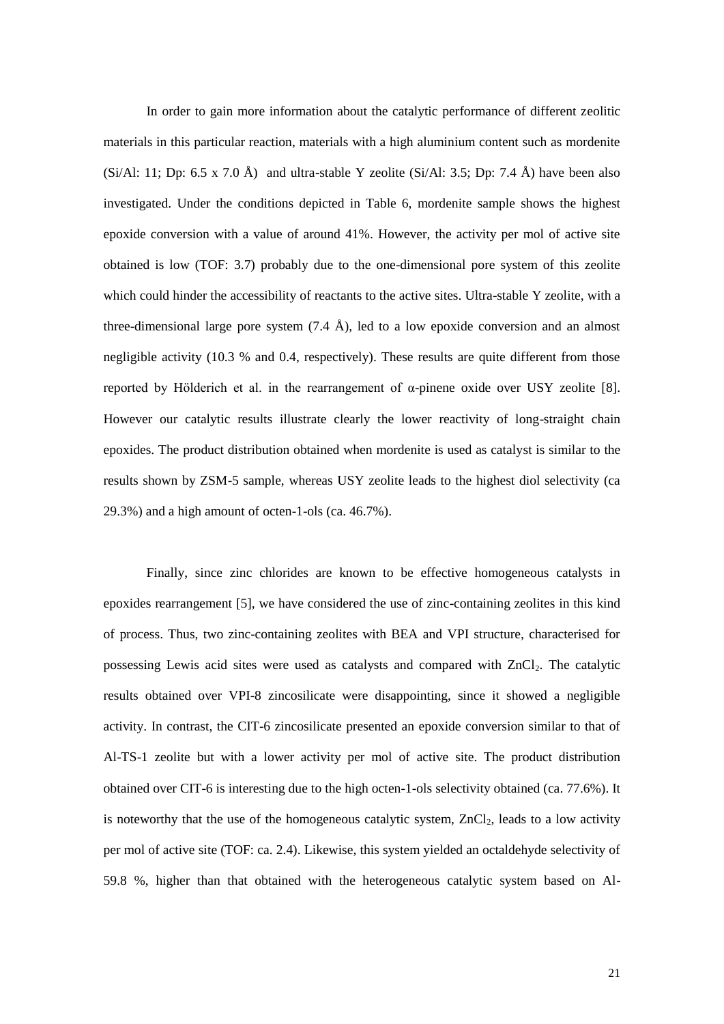In order to gain more information about the catalytic performance of different zeolitic materials in this particular reaction, materials with a high aluminium content such as mordenite (Si/Al: 11; Dp: 6.5 x 7.0 Å) and ultra-stable Y zeolite (Si/Al: 3.5; Dp: 7.4 Å) have been also investigated. Under the conditions depicted in Table 6, mordenite sample shows the highest epoxide conversion with a value of around 41%. However, the activity per mol of active site obtained is low (TOF: 3.7) probably due to the one-dimensional pore system of this zeolite which could hinder the accessibility of reactants to the active sites. Ultra-stable Y zeolite, with a three-dimensional large pore system  $(7.4 \text{ Å})$ , led to a low epoxide conversion and an almost negligible activity (10.3 % and 0.4, respectively). These results are quite different from those reported by Hölderich et al. in the rearrangement of α-pinene oxide over USY zeolite [8]. However our catalytic results illustrate clearly the lower reactivity of long-straight chain epoxides. The product distribution obtained when mordenite is used as catalyst is similar to the results shown by ZSM-5 sample, whereas USY zeolite leads to the highest diol selectivity (ca 29.3%) and a high amount of octen-1-ols (ca. 46.7%).

Finally, since zinc chlorides are known to be effective homogeneous catalysts in epoxides rearrangement [5], we have considered the use of zinc-containing zeolites in this kind of process. Thus, two zinc-containing zeolites with BEA and VPI structure, characterised for possessing Lewis acid sites were used as catalysts and compared with  $ZnCl<sub>2</sub>$ . The catalytic results obtained over VPI-8 zincosilicate were disappointing, since it showed a negligible activity. In contrast, the CIT-6 zincosilicate presented an epoxide conversion similar to that of Al-TS-1 zeolite but with a lower activity per mol of active site. The product distribution obtained over CIT-6 is interesting due to the high octen-1-ols selectivity obtained (ca. 77.6%). It is noteworthy that the use of the homogeneous catalytic system,  $ZnCl<sub>2</sub>$ , leads to a low activity per mol of active site (TOF: ca. 2.4). Likewise, this system yielded an octaldehyde selectivity of 59.8 %, higher than that obtained with the heterogeneous catalytic system based on Al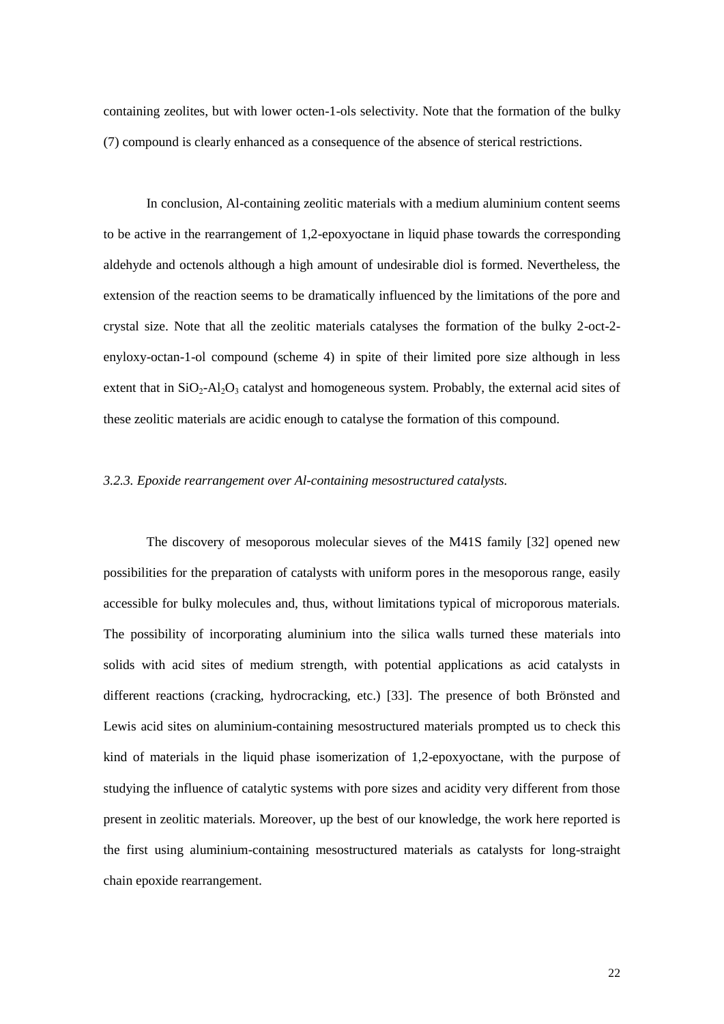containing zeolites, but with lower octen-1-ols selectivity. Note that the formation of the bulky (7) compound is clearly enhanced as a consequence of the absence of sterical restrictions.

In conclusion, Al-containing zeolitic materials with a medium aluminium content seems to be active in the rearrangement of 1,2-epoxyoctane in liquid phase towards the corresponding aldehyde and octenols although a high amount of undesirable diol is formed. Nevertheless, the extension of the reaction seems to be dramatically influenced by the limitations of the pore and crystal size. Note that all the zeolitic materials catalyses the formation of the bulky 2-oct-2 enyloxy-octan-1-ol compound (scheme 4) in spite of their limited pore size although in less extent that in  $SiO_2$ -Al<sub>2</sub>O<sub>3</sub> catalyst and homogeneous system. Probably, the external acid sites of these zeolitic materials are acidic enough to catalyse the formation of this compound.

## *3.2.3. Epoxide rearrangement over Al-containing mesostructured catalysts.*

The discovery of mesoporous molecular sieves of the M41S family [32] opened new possibilities for the preparation of catalysts with uniform pores in the mesoporous range, easily accessible for bulky molecules and, thus, without limitations typical of microporous materials. The possibility of incorporating aluminium into the silica walls turned these materials into solids with acid sites of medium strength, with potential applications as acid catalysts in different reactions (cracking, hydrocracking, etc.) [33]. The presence of both Brönsted and Lewis acid sites on aluminium-containing mesostructured materials prompted us to check this kind of materials in the liquid phase isomerization of 1,2-epoxyoctane, with the purpose of studying the influence of catalytic systems with pore sizes and acidity very different from those present in zeolitic materials. Moreover, up the best of our knowledge, the work here reported is the first using aluminium-containing mesostructured materials as catalysts for long-straight chain epoxide rearrangement.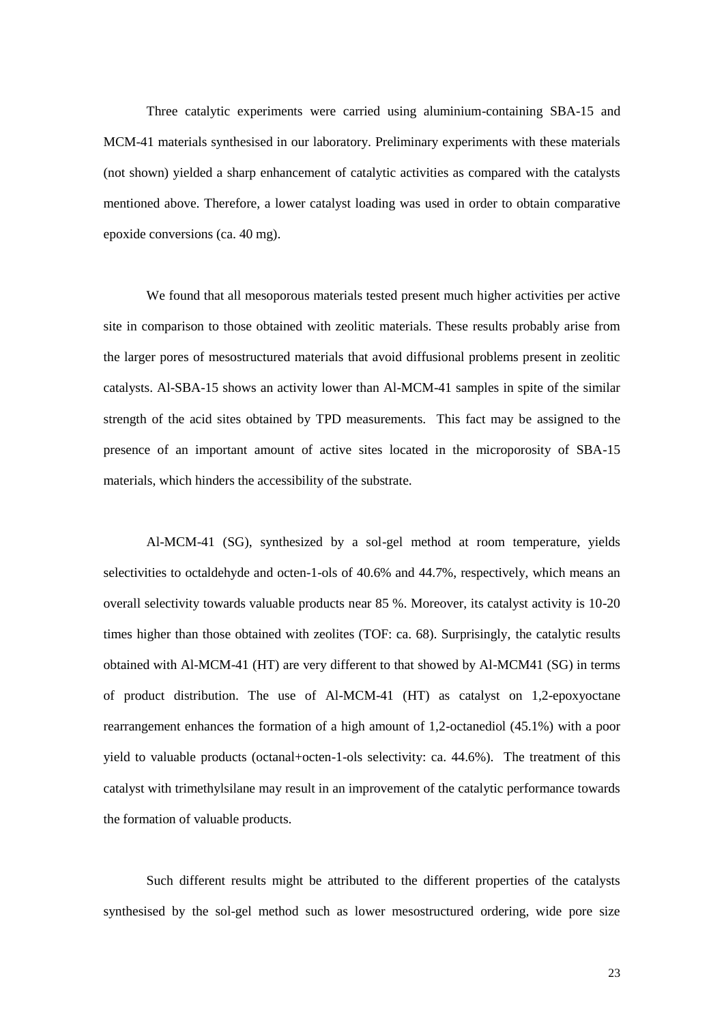Three catalytic experiments were carried using aluminium-containing SBA-15 and MCM-41 materials synthesised in our laboratory. Preliminary experiments with these materials (not shown) yielded a sharp enhancement of catalytic activities as compared with the catalysts mentioned above. Therefore, a lower catalyst loading was used in order to obtain comparative epoxide conversions (ca. 40 mg).

We found that all mesoporous materials tested present much higher activities per active site in comparison to those obtained with zeolitic materials. These results probably arise from the larger pores of mesostructured materials that avoid diffusional problems present in zeolitic catalysts. Al-SBA-15 shows an activity lower than Al-MCM-41 samples in spite of the similar strength of the acid sites obtained by TPD measurements. This fact may be assigned to the presence of an important amount of active sites located in the microporosity of SBA-15 materials, which hinders the accessibility of the substrate.

Al-MCM-41 (SG), synthesized by a sol-gel method at room temperature, yields selectivities to octaldehyde and octen-1-ols of 40.6% and 44.7%, respectively, which means an overall selectivity towards valuable products near 85 %. Moreover, its catalyst activity is 10-20 times higher than those obtained with zeolites (TOF: ca. 68). Surprisingly, the catalytic results obtained with Al-MCM-41 (HT) are very different to that showed by Al-MCM41 (SG) in terms of product distribution. The use of Al-MCM-41 (HT) as catalyst on 1,2-epoxyoctane rearrangement enhances the formation of a high amount of 1,2-octanediol (45.1%) with a poor yield to valuable products (octanal+octen-1-ols selectivity: ca. 44.6%). The treatment of this catalyst with trimethylsilane may result in an improvement of the catalytic performance towards the formation of valuable products.

Such different results might be attributed to the different properties of the catalysts synthesised by the sol-gel method such as lower mesostructured ordering, wide pore size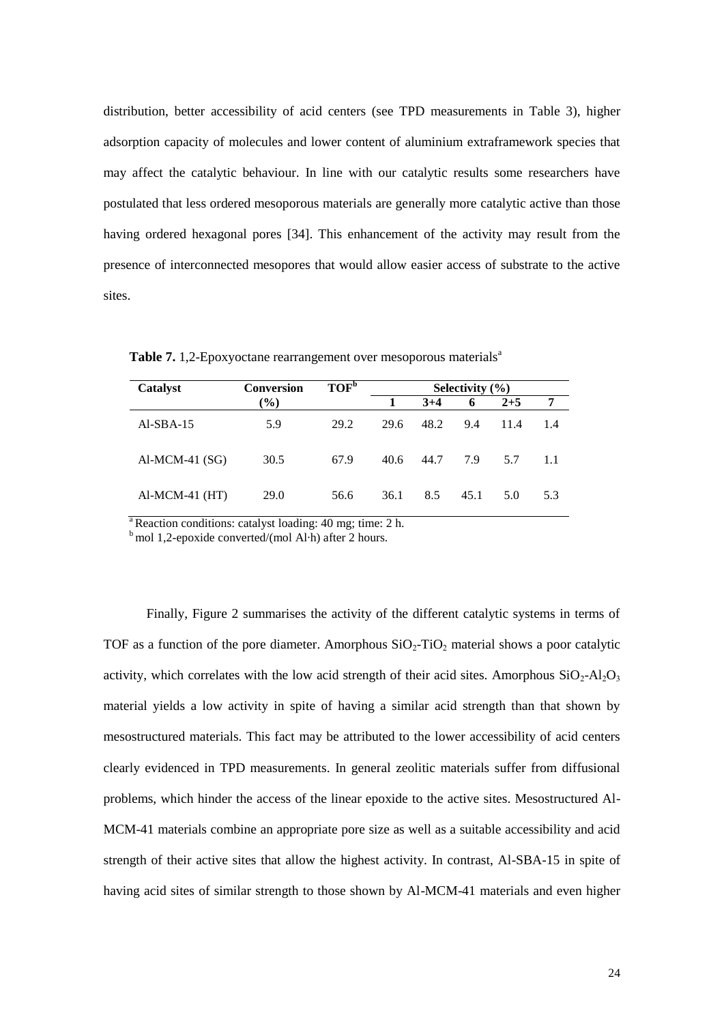distribution, better accessibility of acid centers (see TPD measurements in Table 3), higher adsorption capacity of molecules and lower content of aluminium extraframework species that may affect the catalytic behaviour. In line with our catalytic results some researchers have postulated that less ordered mesoporous materials are generally more catalytic active than those having ordered hexagonal pores [34]. This enhancement of the activity may result from the presence of interconnected mesopores that would allow easier access of substrate to the active sites.

| Catalyst         | <b>Conversion</b>            | TOF <sup>b</sup> | Selectivity $(\% )$ |       |      |         |      |
|------------------|------------------------------|------------------|---------------------|-------|------|---------|------|
|                  | $\left( \frac{0}{0} \right)$ |                  |                     | $3+4$ | 6    | $2 + 5$ | 7    |
| $AI-SBA-15$      | 5.9                          | 29.2             | 29.6                | 48.2  | 9.4  | 11.4    | 1.4  |
| $Al-MCM-41(SG)$  | 30.5                         | 67.9             | 40.6                | 44.7  | 7.9  | 5.7     | -1.1 |
| $AI-MCM-41$ (HT) | 29.0                         | 56.6             | 36.1                | 8.5   | 45.1 | 5.0     | 5.3  |

**Table 7.** 1,2-Epoxyoctane rearrangement over mesoporous materials<sup>a</sup>

 $a<sup>a</sup>$  Reaction conditions: catalyst loading: 40 mg; time: 2 h.

 $<sup>b</sup>$  mol 1,2-epoxide converted/(mol Al-h) after 2 hours.</sup>

Finally, Figure 2 summarises the activity of the different catalytic systems in terms of TOF as a function of the pore diameter. Amorphous  $SiO_2$ -TiO<sub>2</sub> material shows a poor catalytic activity, which correlates with the low acid strength of their acid sites. Amorphous  $SiO_2$ -Al<sub>2</sub>O<sub>3</sub> material yields a low activity in spite of having a similar acid strength than that shown by mesostructured materials. This fact may be attributed to the lower accessibility of acid centers clearly evidenced in TPD measurements. In general zeolitic materials suffer from diffusional problems, which hinder the access of the linear epoxide to the active sites. Mesostructured Al-MCM-41 materials combine an appropriate pore size as well as a suitable accessibility and acid strength of their active sites that allow the highest activity. In contrast, Al-SBA-15 in spite of having acid sites of similar strength to those shown by Al-MCM-41 materials and even higher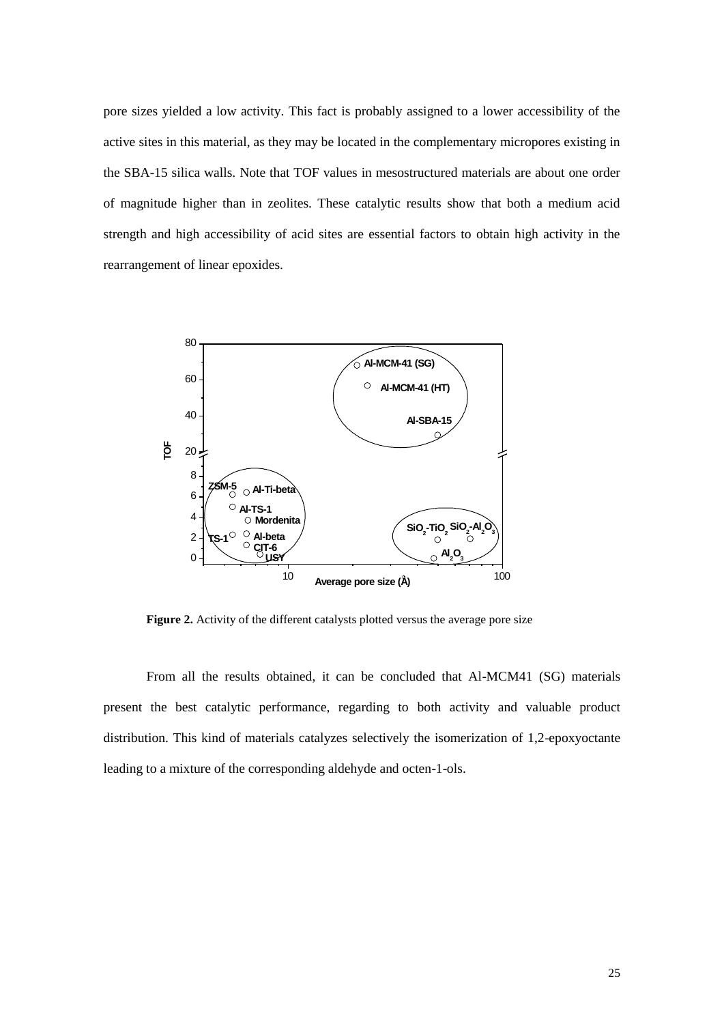pore sizes yielded a low activity. This fact is probably assigned to a lower accessibility of the active sites in this material, as they may be located in the complementary micropores existing in the SBA-15 silica walls. Note that TOF values in mesostructured materials are about one order of magnitude higher than in zeolites. These catalytic results show that both a medium acid strength and high accessibility of acid sites are essential factors to obtain high activity in the rearrangement of linear epoxides.



**Figure 2.** Activity of the different catalysts plotted versus the average pore size

From all the results obtained, it can be concluded that Al-MCM41 (SG) materials present the best catalytic performance, regarding to both activity and valuable product distribution. This kind of materials catalyzes selectively the isomerization of 1,2-epoxyoctante leading to a mixture of the corresponding aldehyde and octen-1-ols.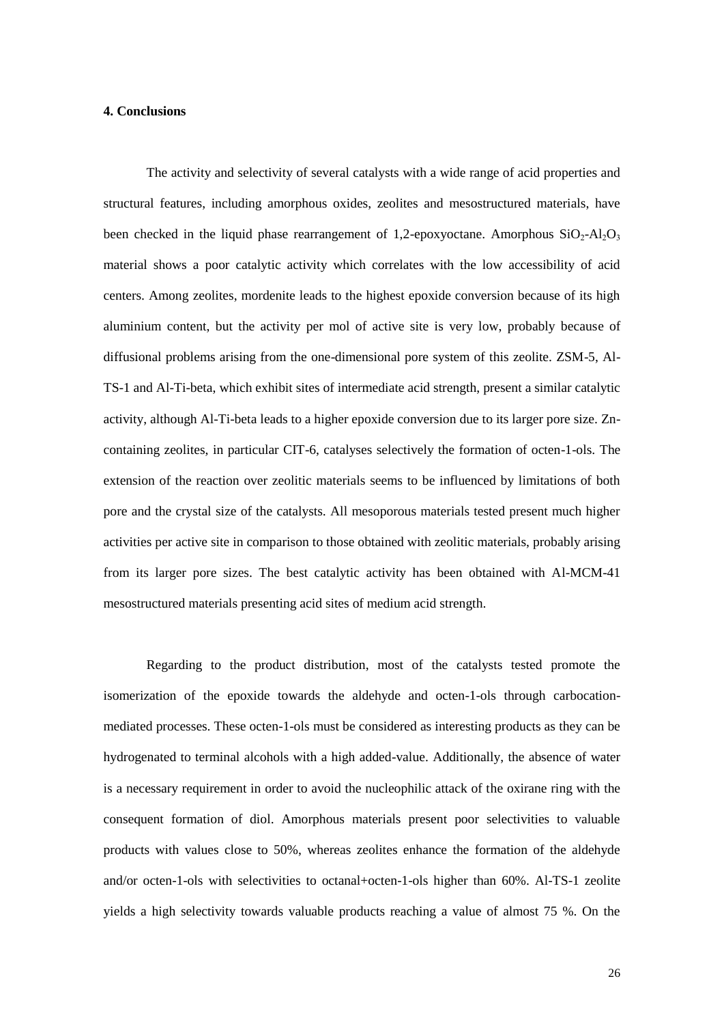## **4. Conclusions**

The activity and selectivity of several catalysts with a wide range of acid properties and structural features, including amorphous oxides, zeolites and mesostructured materials, have been checked in the liquid phase rearrangement of 1,2-epoxyoctane. Amorphous  $SiO<sub>2</sub>-Al<sub>2</sub>O<sub>3</sub>$ material shows a poor catalytic activity which correlates with the low accessibility of acid centers. Among zeolites, mordenite leads to the highest epoxide conversion because of its high aluminium content, but the activity per mol of active site is very low, probably because of diffusional problems arising from the one-dimensional pore system of this zeolite. ZSM-5, Al-TS-1 and Al-Ti-beta, which exhibit sites of intermediate acid strength, present a similar catalytic activity, although Al-Ti-beta leads to a higher epoxide conversion due to its larger pore size. Zncontaining zeolites, in particular CIT-6, catalyses selectively the formation of octen-1-ols. The extension of the reaction over zeolitic materials seems to be influenced by limitations of both pore and the crystal size of the catalysts. All mesoporous materials tested present much higher activities per active site in comparison to those obtained with zeolitic materials, probably arising from its larger pore sizes. The best catalytic activity has been obtained with Al-MCM-41 mesostructured materials presenting acid sites of medium acid strength.

Regarding to the product distribution, most of the catalysts tested promote the isomerization of the epoxide towards the aldehyde and octen-1-ols through carbocationmediated processes. These octen-1-ols must be considered as interesting products as they can be hydrogenated to terminal alcohols with a high added-value. Additionally, the absence of water is a necessary requirement in order to avoid the nucleophilic attack of the oxirane ring with the consequent formation of diol. Amorphous materials present poor selectivities to valuable products with values close to 50%, whereas zeolites enhance the formation of the aldehyde and/or octen-1-ols with selectivities to octanal+octen-1-ols higher than 60%. Al-TS-1 zeolite yields a high selectivity towards valuable products reaching a value of almost 75 %. On the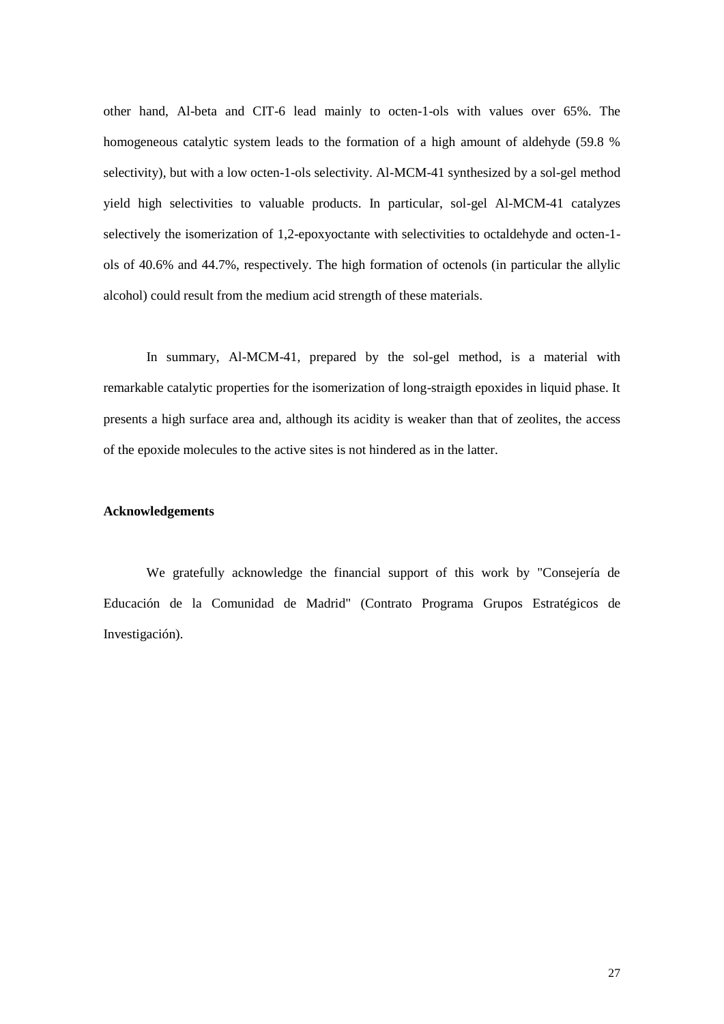other hand, Al-beta and CIT-6 lead mainly to octen-1-ols with values over 65%. The homogeneous catalytic system leads to the formation of a high amount of aldehyde (59.8 % selectivity), but with a low octen-1-ols selectivity. Al-MCM-41 synthesized by a sol-gel method yield high selectivities to valuable products. In particular, sol-gel Al-MCM-41 catalyzes selectively the isomerization of 1,2-epoxyoctante with selectivities to octaldehyde and octen-1 ols of 40.6% and 44.7%, respectively. The high formation of octenols (in particular the allylic alcohol) could result from the medium acid strength of these materials.

In summary, Al-MCM-41, prepared by the sol-gel method, is a material with remarkable catalytic properties for the isomerization of long-straigth epoxides in liquid phase. It presents a high surface area and, although its acidity is weaker than that of zeolites, the access of the epoxide molecules to the active sites is not hindered as in the latter.

# **Acknowledgements**

We gratefully acknowledge the financial support of this work by "Consejería de Educación de la Comunidad de Madrid" (Contrato Programa Grupos Estratégicos de Investigación).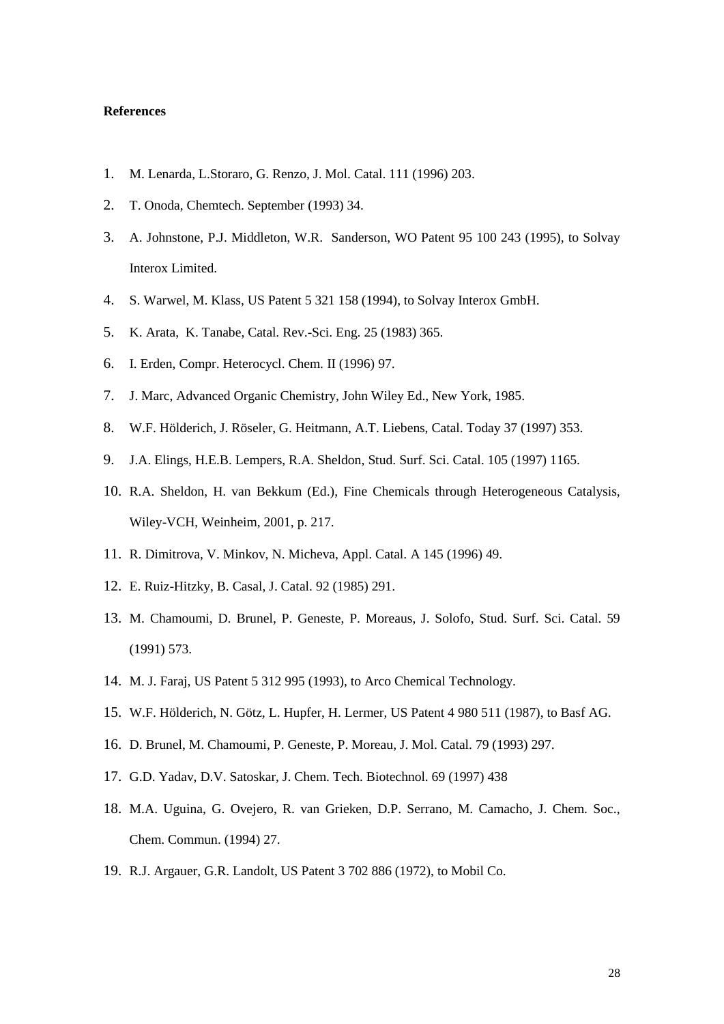## **References**

- 1. M. Lenarda, L.Storaro, G. Renzo, J. Mol. Catal. 111 (1996) 203.
- 2. T. Onoda, Chemtech. September (1993) 34.
- 3. A. Johnstone, P.J. Middleton, W.R. Sanderson, WO Patent 95 100 243 (1995), to Solvay Interox Limited.
- 4. S. Warwel, M. Klass, US Patent 5 321 158 (1994), to Solvay Interox GmbH.
- 5. K. Arata, K. Tanabe, Catal. Rev.-Sci. Eng. 25 (1983) 365.
- 6. I. Erden, Compr. Heterocycl. Chem. II (1996) 97.
- 7. J. Marc, Advanced Organic Chemistry, John Wiley Ed., New York, 1985.
- 8. W.F. Hölderich, J. Röseler, G. Heitmann, A.T. Liebens, Catal. Today 37 (1997) 353.
- 9. J.A. Elings, H.E.B. Lempers, R.A. Sheldon, Stud. Surf. Sci. Catal. 105 (1997) 1165.
- 10. R.A. Sheldon, H. van Bekkum (Ed.), Fine Chemicals through Heterogeneous Catalysis, Wiley-VCH, Weinheim, 2001, p. 217.
- 11. R. Dimitrova, V. Minkov, N. Micheva, Appl. Catal. A 145 (1996) 49.
- 12. E. Ruiz-Hitzky, B. Casal, J. Catal. 92 (1985) 291.
- 13. M. Chamoumi, D. Brunel, P. Geneste, P. Moreaus, J. Solofo, Stud. Surf. Sci. Catal. 59 (1991) 573.
- 14. M. J. Faraj, US Patent 5 312 995 (1993), to Arco Chemical Technology.
- 15. W.F. Hölderich, N. Götz, L. Hupfer, H. Lermer, US Patent 4 980 511 (1987), to Basf AG.
- 16. D. Brunel, M. Chamoumi, P. Geneste, P. Moreau, J. Mol. Catal. 79 (1993) 297.
- 17. G.D. Yadav, D.V. Satoskar, J. Chem. Tech. Biotechnol. 69 (1997) 438
- 18. M.A. Uguina, G. Ovejero, R. van Grieken, D.P. Serrano, M. Camacho, J. Chem. Soc., Chem. Commun. (1994) 27.
- 19. R.J. Argauer, G.R. Landolt, US Patent 3 702 886 (1972), to Mobil Co.